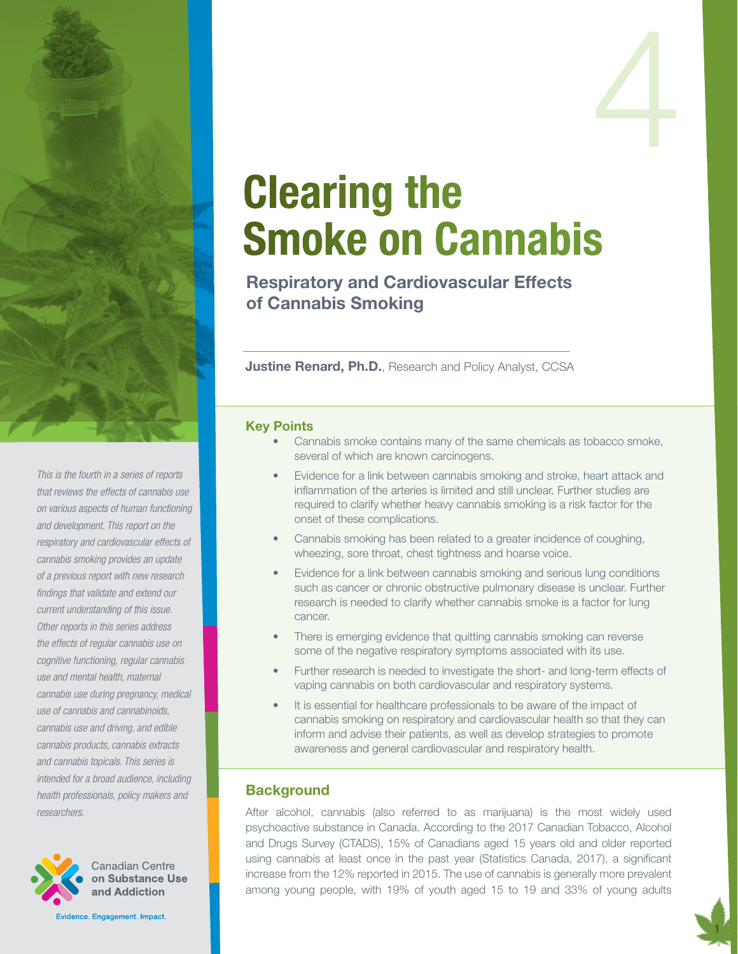

*This is the fourth in a series of reports that reviews the effects of cannabis use on various aspects of human functioning and development. This report on the respiratory and cardiovascular effects of cannabis smoking provides an update of a previous report with new research findings that validate and extend our current understanding of this issue. Other reports in this series address the effects of regular cannabis use on cognitive functioning, regular cannabis use and mental health, maternal cannabis use during pregnancy, medical use of cannabis and cannabinoids, cannabis use and driving, and edible cannabis products, cannabis extracts and cannabis topicals. This series is intended for a broad audience, including health professionals, policy makers and researchers.*



Canadian Centre on Substance Use and Addiction

Evidence. Engagement. Impact.

# Clearing the Smoke on Cannabis

Respiratory and Cardiovascular Effects of Cannabis Smoking

Justine Renard, Ph.D., Research and Policy Analyst, CCSA

#### Key Points

- Cannabis smoke contains many of the same chemicals as tobacco smoke, several of which are known carcinogens.
- Evidence for a link between cannabis smoking and stroke, heart attack and inflammation of the arteries is limited and still unclear. Further studies are required to clarify whether heavy cannabis smoking is a risk factor for the onset of these complications.
- Cannabis smoking has been related to a greater incidence of coughing, wheezing, sore throat, chest tightness and hoarse voice.
- Evidence for a link between cannabis smoking and serious lung conditions such as cancer or chronic obstructive pulmonary disease is unclear. Further research is needed to clarify whether cannabis smoke is a factor for lung cancer.
- There is emerging evidence that quitting cannabis smoking can reverse some of the negative respiratory symptoms associated with its use.
- Further research is needed to investigate the short- and long-term effects of vaping cannabis on both cardiovascular and respiratory systems.
- It is essential for healthcare professionals to be aware of the impact of cannabis smoking on respiratory and cardiovascular health so that they can inform and advise their patients, as well as develop strategies to promote awareness and general cardiovascular and respiratory health.

## **Background**

After alcohol, cannabis (also referred to as marijuana) is the most widely used psychoactive substance in Canada. According to the 2017 Canadian Tobacco, Alcohol and Drugs Survey (CTADS), 15% of Canadians aged 15 years old and older reported using cannabis at least once in the past year (Statistics Canada, 2017), a significant increase from the 12% reported in 2015. The use of cannabis is generally more prevalent among young people, with 19% of youth aged 15 to 19 and 33% of young adults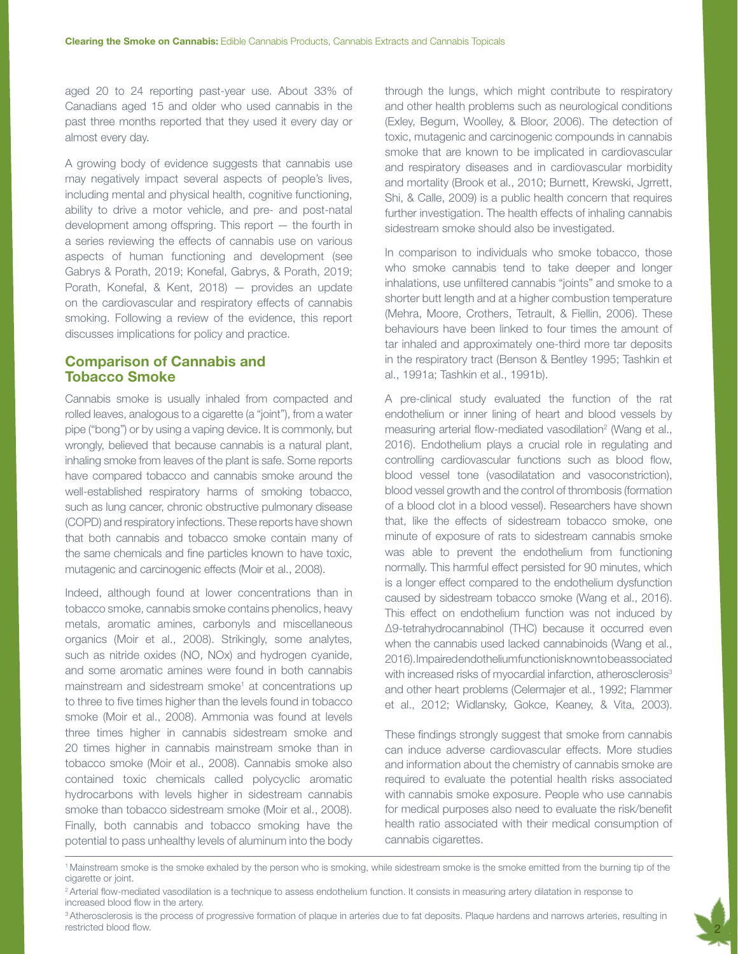aged 20 to 24 reporting past-year use. About 33% of Canadians aged 15 and older who used cannabis in the past three months reported that they used it every day or almost every day.

A growing body of evidence suggests that cannabis use may negatively impact several aspects of people's lives, including mental and physical health, cognitive functioning, ability to drive a motor vehicle, and pre- and post-natal development among offspring. This report — the fourth in a series reviewing the effects of cannabis use on various aspects of human functioning and development (see Gabrys & Porath, 2019; Konefal, Gabrys, & Porath, 2019; Porath, Konefal, & Kent, 2018) — provides an update on the cardiovascular and respiratory effects of cannabis smoking. Following a review of the evidence, this report discusses implications for policy and practice.

### Comparison of Cannabis and Tobacco Smoke

Cannabis smoke is usually inhaled from compacted and rolled leaves, analogous to a cigarette (a "joint"), from a water pipe ("bong") or by using a vaping device. It is commonly, but wrongly, believed that because cannabis is a natural plant, inhaling smoke from leaves of the plant is safe. Some reports have compared tobacco and cannabis smoke around the well-established respiratory harms of smoking tobacco, such as lung cancer, chronic obstructive pulmonary disease (COPD) and respiratory infections. These reports have shown that both cannabis and tobacco smoke contain many of the same chemicals and fine particles known to have toxic, mutagenic and carcinogenic effects (Moir et al., 2008).

Indeed, although found at lower concentrations than in tobacco smoke, cannabis smoke contains phenolics, heavy metals, aromatic amines, carbonyls and miscellaneous organics (Moir et al., 2008). Strikingly, some analytes, such as nitride oxides (NO, NOx) and hydrogen cyanide, and some aromatic amines were found in both cannabis mainstream and sidestream smoke<sup>1</sup> at concentrations up to three to five times higher than the levels found in tobacco smoke (Moir et al., 2008). Ammonia was found at levels three times higher in cannabis sidestream smoke and 20 times higher in cannabis mainstream smoke than in tobacco smoke (Moir et al., 2008). Cannabis smoke also contained toxic chemicals called polycyclic aromatic hydrocarbons with levels higher in sidestream cannabis smoke than tobacco sidestream smoke (Moir et al., 2008). Finally, both cannabis and tobacco smoking have the potential to pass unhealthy levels of aluminum into the body

through the lungs, which might contribute to respiratory and other health problems such as neurological conditions (Exley, Begum, Woolley, & Bloor, 2006). The detection of toxic, mutagenic and carcinogenic compounds in cannabis smoke that are known to be implicated in cardiovascular and respiratory diseases and in cardiovascular morbidity and mortality (Brook et al., 2010; Burnett, Krewski, Jgrrett, Shi, & Calle, 2009) is a public health concern that requires further investigation. The health effects of inhaling cannabis sidestream smoke should also be investigated.

In comparison to individuals who smoke tobacco, those who smoke cannabis tend to take deeper and longer inhalations, use unfiltered cannabis "joints" and smoke to a shorter butt length and at a higher combustion temperature (Mehra, Moore, Crothers, Tetrault, & Fiellin, 2006). These behaviours have been linked to four times the amount of tar inhaled and approximately one-third more tar deposits in the respiratory tract (Benson & Bentley 1995; Tashkin et al., 1991a; Tashkin et al., 1991b).

A pre-clinical study evaluated the function of the rat endothelium or inner lining of heart and blood vessels by measuring arterial flow-mediated vasodilation<sup>2</sup> (Wang et al., 2016). Endothelium plays a crucial role in regulating and controlling cardiovascular functions such as blood flow, blood vessel tone (vasodilatation and vasoconstriction), blood vessel growth and the control of thrombosis (formation of a blood clot in a blood vessel). Researchers have shown that, like the effects of sidestream tobacco smoke, one minute of exposure of rats to sidestream cannabis smoke was able to prevent the endothelium from functioning normally. This harmful effect persisted for 90 minutes, which is a longer effect compared to the endothelium dysfunction caused by sidestream tobacco smoke (Wang et al., 2016). This effect on endothelium function was not induced by Δ9-tetrahydrocannabinol (THC) because it occurred even when the cannabis used lacked cannabinoids (Wang et al., 2016). Impaired endothelium function is known to be associated with increased risks of myocardial infarction, atherosclerosis<sup>3</sup> and other heart problems (Celermajer et al., 1992; Flammer et al., 2012; Widlansky, Gokce, Keaney, & Vita, 2003).

These findings strongly suggest that smoke from cannabis can induce adverse cardiovascular effects. More studies and information about the chemistry of cannabis smoke are required to evaluate the potential health risks associated with cannabis smoke exposure. People who use cannabis for medical purposes also need to evaluate the risk/benefit health ratio associated with their medical consumption of cannabis cigarettes.

<sup>&</sup>lt;sup>3</sup> Atherosclerosis is the process of progressive formation of plaque in arteries due to fat deposits. Plaque hardens and narrows arteries, resulting in restricted blood flow.



<sup>1</sup> Mainstream smoke is the smoke exhaled by the person who is smoking, while sidestream smoke is the smoke emitted from the burning tip of the cigarette or joint.

<sup>&</sup>lt;sup>2</sup> Arterial flow-mediated vasodilation is a technique to assess endothelium function. It consists in measuring artery dilatation in response to increased blood flow in the artery.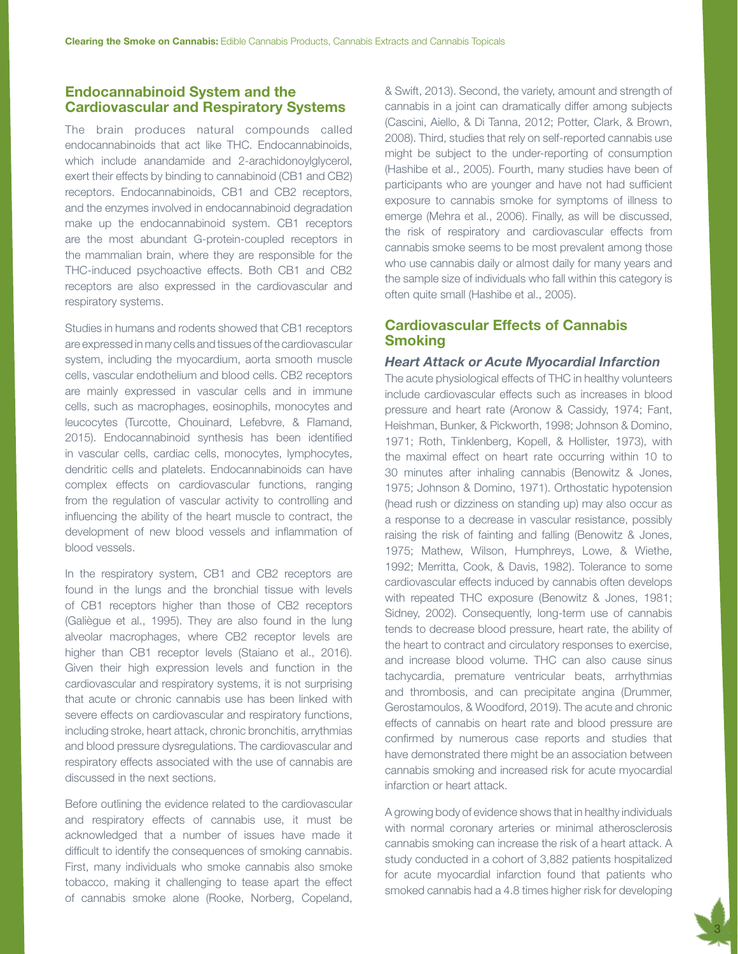# Endocannabinoid System and the Cardiovascular and Respiratory Systems

The brain produces natural compounds called endocannabinoids that act like THC. Endocannabinoids, which include anandamide and 2-arachidonoylglycerol, exert their effects by binding to cannabinoid (CB1 and CB2) receptors. Endocannabinoids, CB1 and CB2 receptors, and the enzymes involved in endocannabinoid degradation make up the endocannabinoid system. CB1 receptors are the most abundant G-protein-coupled receptors in the mammalian brain, where they are responsible for the THC-induced psychoactive effects. Both CB1 and CB2 receptors are also expressed in the cardiovascular and respiratory systems.

Studies in humans and rodents showed that CB1 receptors are expressed in many cells and tissues of the cardiovascular system, including the myocardium, aorta smooth muscle cells, vascular endothelium and blood cells. CB2 receptors are mainly expressed in vascular cells and in immune cells, such as macrophages, eosinophils, monocytes and leucocytes (Turcotte, Chouinard, Lefebvre, & Flamand, 2015). Endocannabinoid synthesis has been identified in vascular cells, cardiac cells, monocytes, lymphocytes, dendritic cells and platelets. Endocannabinoids can have complex effects on cardiovascular functions, ranging from the regulation of vascular activity to controlling and influencing the ability of the heart muscle to contract, the development of new blood vessels and inflammation of blood vessels.

In the respiratory system, CB1 and CB2 receptors are found in the lungs and the bronchial tissue with levels of CB1 receptors higher than those of CB2 receptors (Galiègue et al., 1995). They are also found in the lung alveolar macrophages, where CB2 receptor levels are higher than CB1 receptor levels (Staiano et al., 2016). Given their high expression levels and function in the cardiovascular and respiratory systems, it is not surprising that acute or chronic cannabis use has been linked with severe effects on cardiovascular and respiratory functions, including stroke, heart attack, chronic bronchitis, arrythmias and blood pressure dysregulations. The cardiovascular and respiratory effects associated with the use of cannabis are discussed in the next sections.

Before outlining the evidence related to the cardiovascular and respiratory effects of cannabis use, it must be acknowledged that a number of issues have made it difficult to identify the consequences of smoking cannabis. First, many individuals who smoke cannabis also smoke tobacco, making it challenging to tease apart the effect of cannabis smoke alone (Rooke, Norberg, Copeland,

& Swift, 2013). Second, the variety, amount and strength of cannabis in a joint can dramatically differ among subjects (Cascini, Aiello, & Di Tanna, 2012; Potter, Clark, & Brown, 2008). Third, studies that rely on self-reported cannabis use might be subject to the under-reporting of consumption (Hashibe et al., 2005). Fourth, many studies have been of participants who are younger and have not had sufficient exposure to cannabis smoke for symptoms of illness to emerge (Mehra et al., 2006). Finally, as will be discussed, the risk of respiratory and cardiovascular effects from cannabis smoke seems to be most prevalent among those who use cannabis daily or almost daily for many years and the sample size of individuals who fall within this category is often quite small (Hashibe et al., 2005).

## Cardiovascular Effects of Cannabis **Smoking**

#### *Heart Attack or Acute Myocardial Infarction*

The acute physiological effects of THC in healthy volunteers include cardiovascular effects such as increases in blood pressure and heart rate (Aronow & Cassidy, 1974; Fant, Heishman, Bunker, & Pickworth, 1998; Johnson & Domino, 1971; Roth, Tinklenberg, Kopell, & Hollister, 1973), with the maximal effect on heart rate occurring within 10 to 30 minutes after inhaling cannabis (Benowitz & Jones, 1975; Johnson & Domino, 1971). Orthostatic hypotension (head rush or dizziness on standing up) may also occur as a response to a decrease in vascular resistance, possibly raising the risk of fainting and falling (Benowitz & Jones, 1975; Mathew, Wilson, Humphreys, Lowe, & Wiethe, 1992; Merritta, Cook, & Davis, 1982). Tolerance to some cardiovascular effects induced by cannabis often develops with repeated THC exposure (Benowitz & Jones, 1981; Sidney, 2002). Consequently, long-term use of cannabis tends to decrease blood pressure, heart rate, the ability of the heart to contract and circulatory responses to exercise, and increase blood volume. THC can also cause sinus tachycardia, premature ventricular beats, arrhythmias and thrombosis, and can precipitate angina (Drummer, Gerostamoulos, & Woodford, 2019). The acute and chronic effects of cannabis on heart rate and blood pressure are confirmed by numerous case reports and studies that have demonstrated there might be an association between cannabis smoking and increased risk for acute myocardial infarction or heart attack.

A growing body of evidence shows that in healthy individuals with normal coronary arteries or minimal atherosclerosis cannabis smoking can increase the risk of a heart attack. A study conducted in a cohort of 3,882 patients hospitalized for acute myocardial infarction found that patients who smoked cannabis had a 4.8 times higher risk for developing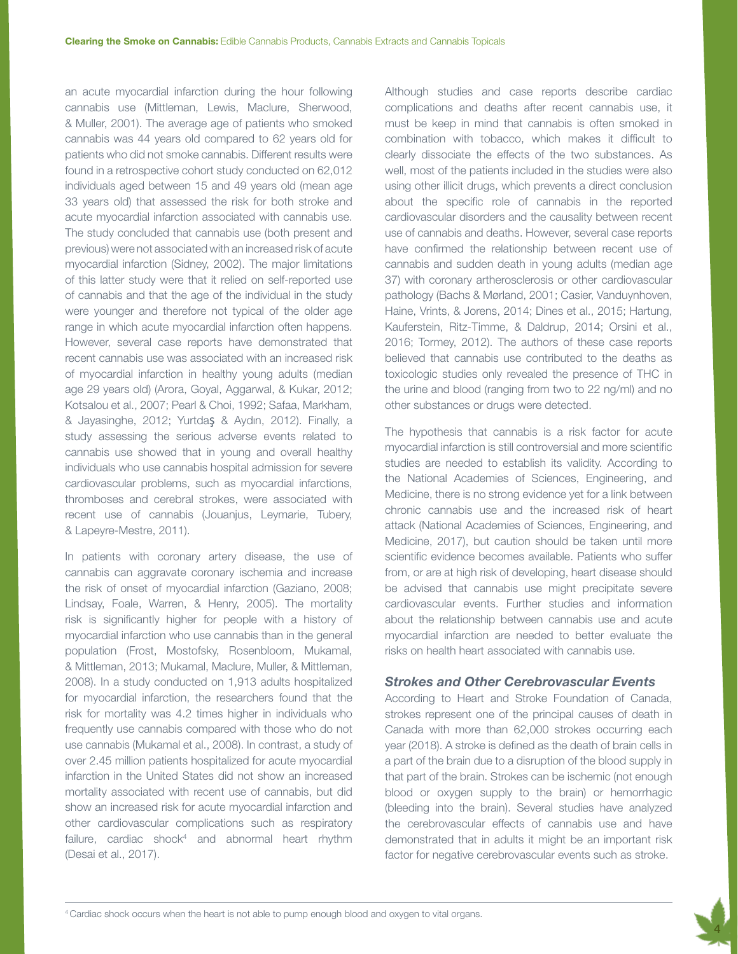an acute myocardial infarction during the hour following cannabis use (Mittleman, Lewis, Maclure, Sherwood, & Muller, 2001). The average age of patients who smoked cannabis was 44 years old compared to 62 years old for patients who did not smoke cannabis. Different results were found in a retrospective cohort study conducted on 62,012 individuals aged between 15 and 49 years old (mean age 33 years old) that assessed the risk for both stroke and acute myocardial infarction associated with cannabis use. The study concluded that cannabis use (both present and previous) were not associated with an increased risk of acute myocardial infarction (Sidney, 2002). The major limitations of this latter study were that it relied on self-reported use of cannabis and that the age of the individual in the study were younger and therefore not typical of the older age range in which acute myocardial infarction often happens. However, several case reports have demonstrated that recent cannabis use was associated with an increased risk of myocardial infarction in healthy young adults (median age 29 years old) (Arora, Goyal, Aggarwal, & Kukar, 2012; Kotsalou et al., 2007; Pearl & Choi, 1992; Safaa, Markham, & Jayasinghe, 2012; Yurtdaş & Aydın, 2012). Finally, a study assessing the serious adverse events related to cannabis use showed that in young and overall healthy individuals who use cannabis hospital admission for severe cardiovascular problems, such as myocardial infarctions, thromboses and cerebral strokes, were associated with recent use of cannabis (Jouanjus, Leymarie, Tubery, & Lapeyre-Mestre, 2011).

In patients with coronary artery disease, the use of cannabis can aggravate coronary ischemia and increase the risk of onset of myocardial infarction (Gaziano, 2008; Lindsay, Foale, Warren, & Henry, 2005). The mortality risk is significantly higher for people with a history of myocardial infarction who use cannabis than in the general population (Frost, Mostofsky, Rosenbloom, Mukamal, & Mittleman, 2013; Mukamal, Maclure, Muller, & Mittleman, 2008). In a study conducted on 1,913 adults hospitalized for myocardial infarction, the researchers found that the risk for mortality was 4.2 times higher in individuals who frequently use cannabis compared with those who do not use cannabis (Mukamal et al., 2008). In contrast, a study of over 2.45 million patients hospitalized for acute myocardial infarction in the United States did not show an increased mortality associated with recent use of cannabis, but did show an increased risk for acute myocardial infarction and other cardiovascular complications such as respiratory failure, cardiac shock<sup>4</sup> and abnormal heart rhythm (Desai et al., 2017).

Although studies and case reports describe cardiac complications and deaths after recent cannabis use, it must be keep in mind that cannabis is often smoked in combination with tobacco, which makes it difficult to clearly dissociate the effects of the two substances. As well, most of the patients included in the studies were also using other illicit drugs, which prevents a direct conclusion about the specific role of cannabis in the reported cardiovascular disorders and the causality between recent use of cannabis and deaths. However, several case reports have confirmed the relationship between recent use of cannabis and sudden death in young adults (median age 37) with coronary artherosclerosis or other cardiovascular pathology (Bachs & Mørland, 2001; Casier, Vanduynhoven, Haine, Vrints, & Jorens, 2014; Dines et al., 2015; Hartung, Kauferstein, Ritz-Timme, & Daldrup, 2014; Orsini et al., 2016; Tormey, 2012). The authors of these case reports believed that cannabis use contributed to the deaths as toxicologic studies only revealed the presence of THC in the urine and blood (ranging from two to 22 ng/ml) and no other substances or drugs were detected.

The hypothesis that cannabis is a risk factor for acute myocardial infarction is still controversial and more scientific studies are needed to establish its validity. According to the National Academies of Sciences, Engineering, and Medicine, there is no strong evidence yet for a link between chronic cannabis use and the increased risk of heart attack (National Academies of Sciences, Engineering, and Medicine, 2017), but caution should be taken until more scientific evidence becomes available. Patients who suffer from, or are at high risk of developing, heart disease should be advised that cannabis use might precipitate severe cardiovascular events. Further studies and information about the relationship between cannabis use and acute myocardial infarction are needed to better evaluate the risks on health heart associated with cannabis use.

#### *Strokes and Other Cerebrovascular Events*

According to Heart and Stroke Foundation of Canada, strokes represent one of the principal causes of death in Canada with more than 62,000 strokes occurring each year (2018). A stroke is defined as the death of brain cells in a part of the brain due to a disruption of the blood supply in that part of the brain. Strokes can be ischemic (not enough blood or oxygen supply to the brain) or hemorrhagic (bleeding into the brain). Several studies have analyzed the cerebrovascular effects of cannabis use and have demonstrated that in adults it might be an important risk factor for negative cerebrovascular events such as stroke.

4

<sup>4</sup> Cardiac shock occurs when the heart is not able to pump enough blood and oxygen to vital organs.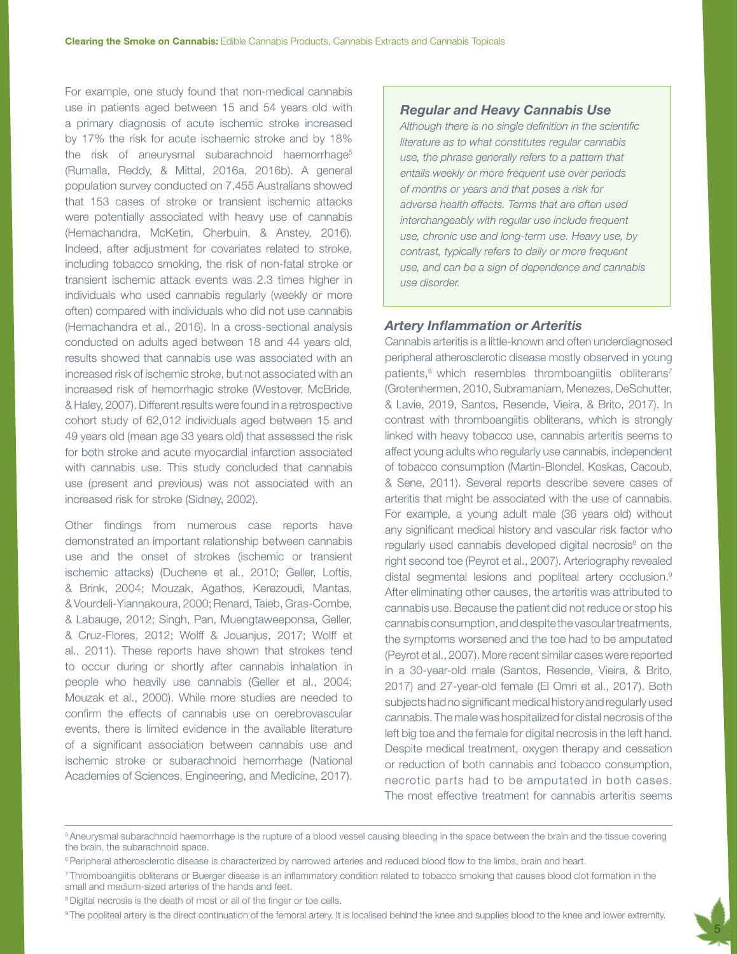For example, one study found that non-medical cannabis use in patients aged between 15 and 54 years old with a primary diagnosis of acute ischemic stroke increased by 17% the risk for acute ischaemic stroke and by 18% the risk of aneurysmal subarachnoid haemorrhage<sup>5</sup> (Rumalla, Reddy, & Mittal, 2016a, 2016b). A general population survey conducted on 7,455 Australians showed that 153 cases of stroke or transient ischemic attacks were potentially associated with heavy use of cannabis (Hemachandra, McKetin, Cherbuin, & Anstey, 2016). Indeed, after adjustment for covariates related to stroke, including tobacco smoking, the risk of non-fatal stroke or transient ischemic attack events was 2.3 times higher in individuals who used cannabis regularly (weekly or more often) compared with individuals who did not use cannabis (Hemachandra et al., 2016). In a cross-sectional analysis conducted on adults aged between 18 and 44 years old, results showed that cannabis use was associated with an increased risk of ischemic stroke, but not associated with an increased risk of hemorrhagic stroke (Westover, McBride, & Haley, 2007). Different results were found in a retrospective cohort study of 62,012 individuals aged between 15 and 49 years old (mean age 33 years old) that assessed the risk for both stroke and acute myocardial infarction associated with cannabis use. This study concluded that cannabis use (present and previous) was not associated with an increased risk for stroke (Sidney, 2002).

Other findings from numerous case reports have demonstrated an important relationship between cannabis use and the onset of strokes (ischemic or transient ischemic attacks) (Duchene et al., 2010; Geller, Loftis, & Brink, 2004; Mouzak, Agathos, Kerezoudi, Mantas, & Vourdeli-Yiannakoura, 2000; Renard, Taieb, Gras-Combe, & Labauge, 2012; Singh, Pan, Muengtaweeponsa, Geller, & Cruz-Flores, 2012; Wolff & Jouanjus, 2017; Wolff et al., 2011). These reports have shown that strokes tend to occur during or shortly after cannabis inhalation in people who heavily use cannabis (Geller et al., 2004; Mouzak et al., 2000). While more studies are needed to confirm the effects of cannabis use on cerebrovascular events, there is limited evidence in the available literature of a significant association between cannabis use and ischemic stroke or subarachnoid hemorrhage (National Academies of Sciences, Engineering, and Medicine, 2017).

#### *Regular and Heavy Cannabis Use*

*Although there is no single definition in the scientific literature as to what constitutes regular cannabis use, the phrase generally refers to a pattern that entails weekly or more frequent use over periods of months or years and that poses a risk for adverse health effects. Terms that are often used interchangeably with regular use include frequent use, chronic use and long-term use. Heavy use, by contrast, typically refers to daily or more frequent use, and can be a sign of dependence and cannabis use disorder.*

## *Artery Inflammation or Arteritis*

Cannabis arteritis is a little-known and often underdiagnosed peripheral atherosclerotic disease mostly observed in young patients,<sup>6</sup> which resembles thromboangiitis obliterans<sup>7</sup> (Grotenhermen, 2010, Subramaniam, Menezes, DeSchutter, & Lavie, 2019, Santos, Resende, Vieira, & Brito, 2017). In contrast with thromboangiitis obliterans, which is strongly linked with heavy tobacco use, cannabis arteritis seems to affect young adults who regularly use cannabis, independent of tobacco consumption (Martin-Blondel, Koskas, Cacoub, & Sene, 2011). Several reports describe severe cases of arteritis that might be associated with the use of cannabis. For example, a young adult male (36 years old) without any significant medical history and vascular risk factor who regularly used cannabis developed digital necrosis<sup>8</sup> on the right second toe (Peyrot et al., 2007). Arteriography revealed distal segmental lesions and popliteal artery occlusion.9 After eliminating other causes, the arteritis was attributed to cannabis use. Because the patient did not reduce or stop his cannabis consumption, and despite the vascular treatments, the symptoms worsened and the toe had to be amputated (Peyrot et al., 2007). More recent similar cases were reported in a 30-year-old male (Santos, Resende, Vieira, & Brito, 2017) and 27-year-old female (El Omri et al., 2017). Both subjects had no significant medical history and regularly used cannabis. The male was hospitalized for distal necrosis of the left big toe and the female for digital necrosis in the left hand. Despite medical treatment, oxygen therapy and cessation or reduction of both cannabis and tobacco consumption, necrotic parts had to be amputated in both cases. The most effective treatment for cannabis arteritis seems

<sup>8</sup> Digital necrosis is the death of most or all of the finger or toe cells.

<sup>9</sup>The popliteal artery is the direct continuation of the femoral artery. It is localised behind the knee and supplies blood to the knee and lower extremity.



<sup>5</sup> Aneurysmal subarachnoid haemorrhage is the rupture of a blood vessel causing bleeding in the space between the brain and the tissue covering the brain, the subarachnoid space.

<sup>&</sup>lt;sup>6</sup> Peripheral atherosclerotic disease is characterized by narrowed arteries and reduced blood flow to the limbs, brain and heart.

<sup>7</sup> Thromboangiitis obliterans or Buerger disease is an inflammatory condition related to tobacco smoking that causes blood clot formation in the small and medium-sized arteries of the hands and feet.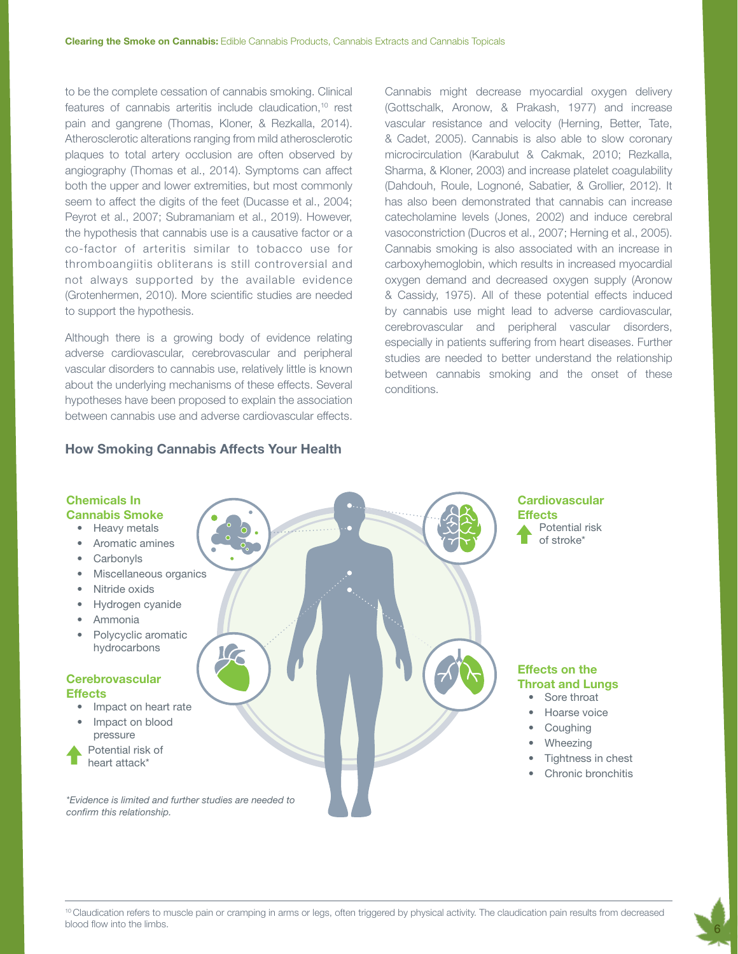to be the complete cessation of cannabis smoking. Clinical features of cannabis arteritis include claudication,10 rest pain and gangrene (Thomas, Kloner, & Rezkalla, 2014). Atherosclerotic alterations ranging from mild atherosclerotic plaques to total artery occlusion are often observed by angiography (Thomas et al., 2014). Symptoms can affect both the upper and lower extremities, but most commonly seem to affect the digits of the feet (Ducasse et al., 2004; Peyrot et al., 2007; Subramaniam et al., 2019). However, the hypothesis that cannabis use is a causative factor or a co-factor of arteritis similar to tobacco use for thromboangiitis obliterans is still controversial and not always supported by the available evidence (Grotenhermen, 2010). More scientific studies are needed to support the hypothesis.

Although there is a growing body of evidence relating adverse cardiovascular, cerebrovascular and peripheral vascular disorders to cannabis use, relatively little is known about the underlying mechanisms of these effects. Several hypotheses have been proposed to explain the association between cannabis use and adverse cardiovascular effects.

#### How Smoking Cannabis Affects Your Health

Cannabis might decrease myocardial oxygen delivery (Gottschalk, Aronow, & Prakash, 1977) and increase vascular resistance and velocity (Herning, Better, Tate, & Cadet, 2005). Cannabis is also able to slow coronary microcirculation (Karabulut & Cakmak, 2010; Rezkalla, Sharma, & Kloner, 2003) and increase platelet coagulability (Dahdouh, Roule, Lognoné, Sabatier, & Grollier, 2012). It has also been demonstrated that cannabis can increase catecholamine levels (Jones, 2002) and induce cerebral vasoconstriction (Ducros et al., 2007; Herning et al., 2005). Cannabis smoking is also associated with an increase in carboxyhemoglobin, which results in increased myocardial oxygen demand and decreased oxygen supply (Aronow & Cassidy, 1975). All of these potential effects induced by cannabis use might lead to adverse cardiovascular, cerebrovascular and peripheral vascular disorders, especially in patients suffering from heart diseases. Further studies are needed to better understand the relationship between cannabis smoking and the onset of these conditions.



#### <sup>10</sup> Claudication refers to muscle pain or cramping in arms or legs, often triggered by physical activity. The claudication pain results from decreased blood flow into the limbs.

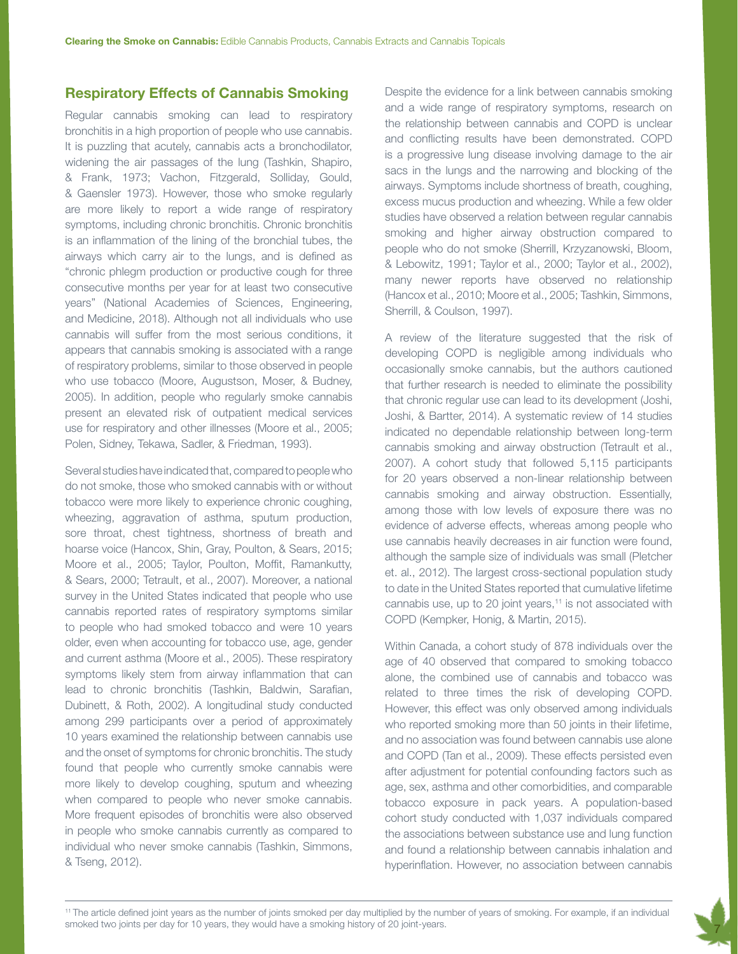## Respiratory Effects of Cannabis Smoking

Regular cannabis smoking can lead to respiratory bronchitis in a high proportion of people who use cannabis. It is puzzling that acutely, cannabis acts a bronchodilator, widening the air passages of the lung (Tashkin, Shapiro, & Frank, 1973; Vachon, Fitzgerald, Solliday, Gould, & Gaensler 1973). However, those who smoke regularly are more likely to report a wide range of respiratory symptoms, including chronic bronchitis. Chronic bronchitis is an inflammation of the lining of the bronchial tubes, the airways which carry air to the lungs, and is defined as "chronic phlegm production or productive cough for three consecutive months per year for at least two consecutive years" (National Academies of Sciences, Engineering, and Medicine, 2018). Although not all individuals who use cannabis will suffer from the most serious conditions, it appears that cannabis smoking is associated with a range of respiratory problems, similar to those observed in people who use tobacco (Moore, Augustson, Moser, & Budney, 2005). In addition, people who regularly smoke cannabis present an elevated risk of outpatient medical services use for respiratory and other illnesses (Moore et al., 2005; Polen, Sidney, Tekawa, Sadler, & Friedman, 1993).

Several studies have indicated that, compared to people who do not smoke, those who smoked cannabis with or without tobacco were more likely to experience chronic coughing, wheezing, aggravation of asthma, sputum production, sore throat, chest tightness, shortness of breath and hoarse voice (Hancox, Shin, Gray, Poulton, & Sears, 2015; Moore et al., 2005; Taylor, Poulton, Moffit, Ramankutty, & Sears, 2000; Tetrault, et al., 2007). Moreover, a national survey in the United States indicated that people who use cannabis reported rates of respiratory symptoms similar to people who had smoked tobacco and were 10 years older, even when accounting for tobacco use, age, gender and current asthma (Moore et al., 2005). These respiratory symptoms likely stem from airway inflammation that can lead to chronic bronchitis (Tashkin, Baldwin, Sarafian, Dubinett, & Roth, 2002). A longitudinal study conducted among 299 participants over a period of approximately 10 years examined the relationship between cannabis use and the onset of symptoms for chronic bronchitis. The study found that people who currently smoke cannabis were more likely to develop coughing, sputum and wheezing when compared to people who never smoke cannabis. More frequent episodes of bronchitis were also observed in people who smoke cannabis currently as compared to individual who never smoke cannabis (Tashkin, Simmons, & Tseng, 2012).

Despite the evidence for a link between cannabis smoking and a wide range of respiratory symptoms, research on the relationship between cannabis and COPD is unclear and conflicting results have been demonstrated. COPD is a progressive lung disease involving damage to the air sacs in the lungs and the narrowing and blocking of the airways. Symptoms include shortness of breath, coughing, excess mucus production and wheezing. While a few older studies have observed a relation between regular cannabis smoking and higher airway obstruction compared to people who do not smoke (Sherrill, Krzyzanowski, Bloom, & Lebowitz, 1991; Taylor et al., 2000; Taylor et al., 2002), many newer reports have observed no relationship (Hancox et al., 2010; Moore et al., 2005; Tashkin, Simmons, Sherrill, & Coulson, 1997).

A review of the literature suggested that the risk of developing COPD is negligible among individuals who occasionally smoke cannabis, but the authors cautioned that further research is needed to eliminate the possibility that chronic regular use can lead to its development (Joshi, Joshi, & Bartter, 2014). A systematic review of 14 studies indicated no dependable relationship between long-term cannabis smoking and airway obstruction (Tetrault et al., 2007). A cohort study that followed 5,115 participants for 20 years observed a non-linear relationship between cannabis smoking and airway obstruction. Essentially, among those with low levels of exposure there was no evidence of adverse effects, whereas among people who use cannabis heavily decreases in air function were found, although the sample size of individuals was small (Pletcher et. al., 2012). The largest cross-sectional population study to date in the United States reported that cumulative lifetime cannabis use, up to 20 joint years, $11$  is not associated with COPD (Kempker, Honig, & Martin, 2015).

Within Canada, a cohort study of 878 individuals over the age of 40 observed that compared to smoking tobacco alone, the combined use of cannabis and tobacco was related to three times the risk of developing COPD. However, this effect was only observed among individuals who reported smoking more than 50 joints in their lifetime, and no association was found between cannabis use alone and COPD (Tan et al., 2009). These effects persisted even after adjustment for potential confounding factors such as age, sex, asthma and other comorbidities, and comparable tobacco exposure in pack years. A population-based cohort study conducted with 1,037 individuals compared the associations between substance use and lung function and found a relationship between cannabis inhalation and hyperinflation. However, no association between cannabis

7

11 The article defined joint years as the number of joints smoked per day multiplied by the number of years of smoking. For example, if an individual smoked two joints per day for 10 years, they would have a smoking history of 20 joint-years.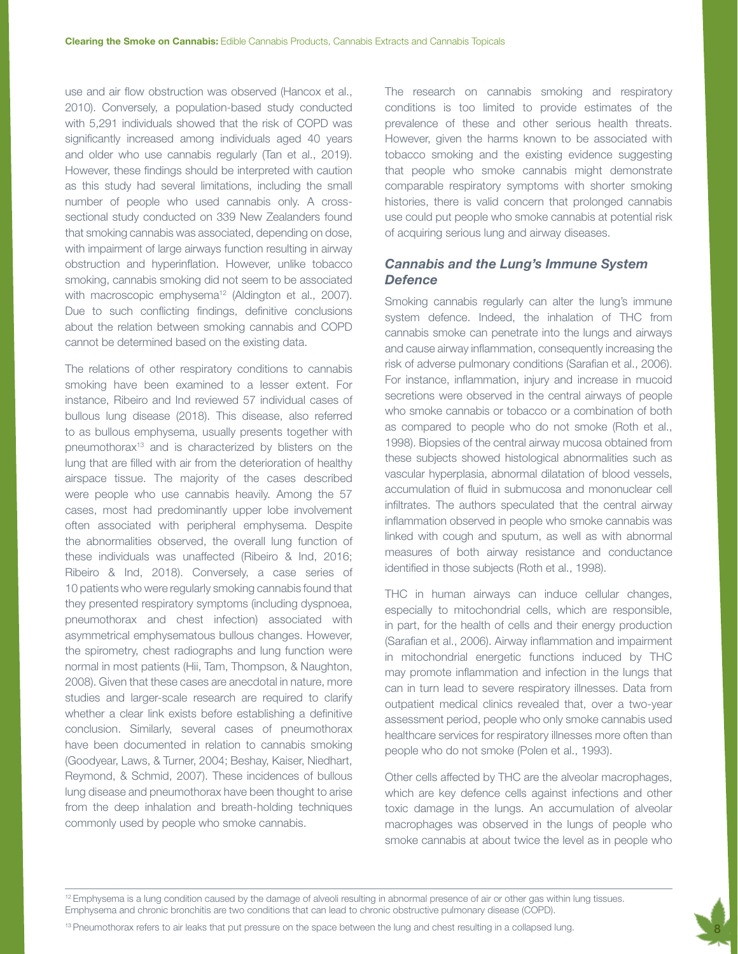use and air flow obstruction was observed (Hancox et al., 2010). Conversely, a population-based study conducted with 5,291 individuals showed that the risk of COPD was significantly increased among individuals aged 40 years and older who use cannabis regularly (Tan et al., 2019). However, these findings should be interpreted with caution as this study had several limitations, including the small number of people who used cannabis only. A crosssectional study conducted on 339 New Zealanders found that smoking cannabis was associated, depending on dose, with impairment of large airways function resulting in airway obstruction and hyperinflation. However, unlike tobacco smoking, cannabis smoking did not seem to be associated with macroscopic emphysema<sup>12</sup> (Aldington et al., 2007). Due to such conflicting findings, definitive conclusions about the relation between smoking cannabis and COPD cannot be determined based on the existing data.

The relations of other respiratory conditions to cannabis smoking have been examined to a lesser extent. For instance, Ribeiro and Ind reviewed 57 individual cases of bullous lung disease (2018). This disease, also referred to as bullous emphysema, usually presents together with pneumothorax<sup>13</sup> and is characterized by blisters on the lung that are filled with air from the deterioration of healthy airspace tissue. The majority of the cases described were people who use cannabis heavily. Among the 57 cases, most had predominantly upper lobe involvement often associated with peripheral emphysema. Despite the abnormalities observed, the overall lung function of these individuals was unaffected (Ribeiro & Ind, 2016; Ribeiro & Ind, 2018). Conversely, a case series of 10 patients who were regularly smoking cannabis found that they presented respiratory symptoms (including dyspnoea, pneumothorax and chest infection) associated with asymmetrical emphysematous bullous changes. However, the spirometry, chest radiographs and lung function were normal in most patients (Hii, Tam, Thompson, & Naughton, 2008). Given that these cases are anecdotal in nature, more studies and larger-scale research are required to clarify whether a clear link exists before establishing a definitive conclusion. Similarly, several cases of pneumothorax have been documented in relation to cannabis smoking (Goodyear, Laws, & Turner, 2004; Beshay, Kaiser, Niedhart, Reymond, & Schmid, 2007). These incidences of bullous lung disease and pneumothorax have been thought to arise from the deep inhalation and breath-holding techniques commonly used by people who smoke cannabis.

The research on cannabis smoking and respiratory conditions is too limited to provide estimates of the prevalence of these and other serious health threats. However, given the harms known to be associated with tobacco smoking and the existing evidence suggesting that people who smoke cannabis might demonstrate comparable respiratory symptoms with shorter smoking histories, there is valid concern that prolonged cannabis use could put people who smoke cannabis at potential risk of acquiring serious lung and airway diseases.

## *Cannabis and the Lung's Immune System Defence*

Smoking cannabis regularly can alter the lung's immune system defence. Indeed, the inhalation of THC from cannabis smoke can penetrate into the lungs and airways and cause airway inflammation, consequently increasing the risk of adverse pulmonary conditions (Sarafian et al., 2006). For instance, inflammation, injury and increase in mucoid secretions were observed in the central airways of people who smoke cannabis or tobacco or a combination of both as compared to people who do not smoke (Roth et al., 1998). Biopsies of the central airway mucosa obtained from these subjects showed histological abnormalities such as vascular hyperplasia, abnormal dilatation of blood vessels, accumulation of fluid in submucosa and mononuclear cell infiltrates. The authors speculated that the central airway inflammation observed in people who smoke cannabis was linked with cough and sputum, as well as with abnormal measures of both airway resistance and conductance identified in those subjects (Roth et al., 1998).

THC in human airways can induce cellular changes, especially to mitochondrial cells, which are responsible, in part, for the health of cells and their energy production (Sarafian et al., 2006). Airway inflammation and impairment in mitochondrial energetic functions induced by THC may promote inflammation and infection in the lungs that can in turn lead to severe respiratory illnesses. Data from outpatient medical clinics revealed that, over a two-year assessment period, people who only smoke cannabis used healthcare services for respiratory illnesses more often than people who do not smoke (Polen et al., 1993).

Other cells affected by THC are the alveolar macrophages, which are key defence cells against infections and other toxic damage in the lungs. An accumulation of alveolar macrophages was observed in the lungs of people who smoke cannabis at about twice the level as in people who

8

<sup>12</sup> Emphysema is a lung condition caused by the damage of alveoli resulting in abnormal presence of air or other gas within lung tissues. Emphysema and chronic bronchitis are two conditions that can lead to chronic obstructive pulmonary disease (COPD).

<sup>13</sup> Pneumothorax refers to air leaks that put pressure on the space between the lung and chest resulting in a collapsed lung.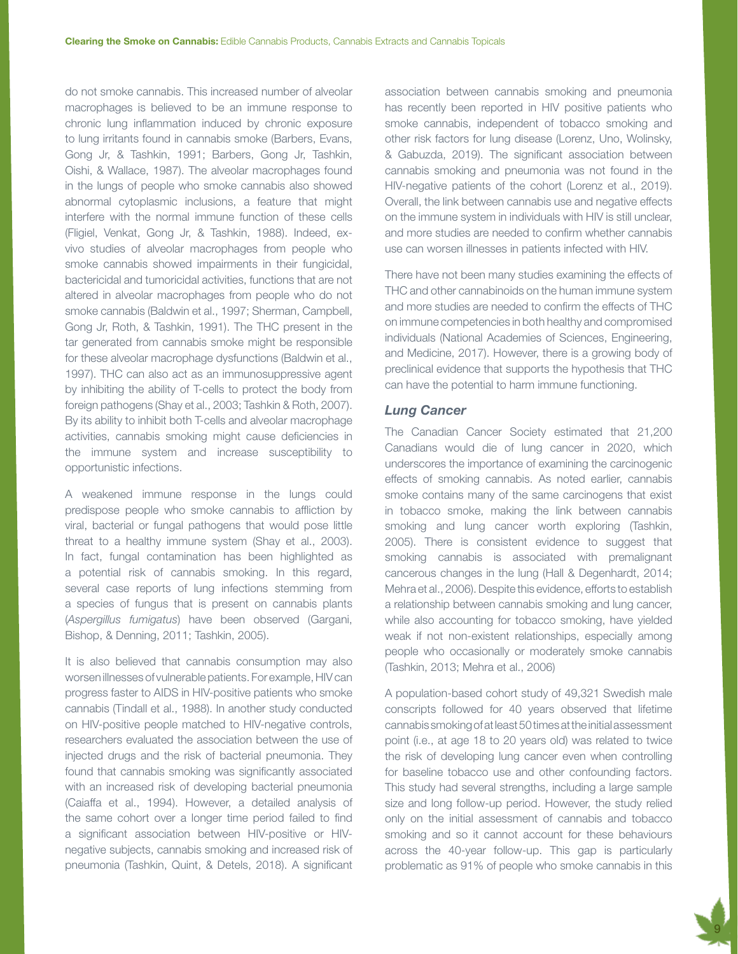do not smoke cannabis. This increased number of alveolar macrophages is believed to be an immune response to chronic lung inflammation induced by chronic exposure to lung irritants found in cannabis smoke (Barbers, Evans, Gong Jr, & Tashkin, 1991; Barbers, Gong Jr, Tashkin, Oishi, & Wallace, 1987). The alveolar macrophages found in the lungs of people who smoke cannabis also showed abnormal cytoplasmic inclusions, a feature that might interfere with the normal immune function of these cells (Fligiel, Venkat, Gong Jr, & Tashkin, 1988). Indeed, exvivo studies of alveolar macrophages from people who smoke cannabis showed impairments in their fungicidal, bactericidal and tumoricidal activities, functions that are not altered in alveolar macrophages from people who do not smoke cannabis (Baldwin et al., 1997; Sherman, Campbell, Gong Jr, Roth, & Tashkin, 1991). The THC present in the tar generated from cannabis smoke might be responsible for these alveolar macrophage dysfunctions (Baldwin et al., 1997). THC can also act as an immunosuppressive agent by inhibiting the ability of T-cells to protect the body from foreign pathogens (Shay et al., 2003; Tashkin & Roth, 2007). By its ability to inhibit both T-cells and alveolar macrophage activities, cannabis smoking might cause deficiencies in the immune system and increase susceptibility to opportunistic infections.

A weakened immune response in the lungs could predispose people who smoke cannabis to affliction by viral, bacterial or fungal pathogens that would pose little threat to a healthy immune system (Shay et al., 2003). In fact, fungal contamination has been highlighted as a potential risk of cannabis smoking. In this regard, several case reports of lung infections stemming from a species of fungus that is present on cannabis plants (*Aspergillus fumigatus*) have been observed (Gargani, Bishop, & Denning, 2011; Tashkin, 2005).

It is also believed that cannabis consumption may also worsen illnesses of vulnerable patients. For example, HIV can progress faster to AIDS in HIV-positive patients who smoke cannabis (Tindall et al., 1988). In another study conducted on HIV-positive people matched to HIV-negative controls, researchers evaluated the association between the use of injected drugs and the risk of bacterial pneumonia. They found that cannabis smoking was significantly associated with an increased risk of developing bacterial pneumonia (Caiaffa et al., 1994). However, a detailed analysis of the same cohort over a longer time period failed to find a significant association between HIV-positive or HIVnegative subjects, cannabis smoking and increased risk of pneumonia (Tashkin, Quint, & Detels, 2018). A significant

association between cannabis smoking and pneumonia has recently been reported in HIV positive patients who smoke cannabis, independent of tobacco smoking and other risk factors for lung disease (Lorenz, Uno, Wolinsky, & Gabuzda, 2019). The significant association between cannabis smoking and pneumonia was not found in the HIV-negative patients of the cohort (Lorenz et al., 2019). Overall, the link between cannabis use and negative effects on the immune system in individuals with HIV is still unclear, and more studies are needed to confirm whether cannabis use can worsen illnesses in patients infected with HIV.

There have not been many studies examining the effects of THC and other cannabinoids on the human immune system and more studies are needed to confirm the effects of THC on immune competencies in both healthy and compromised individuals (National Academies of Sciences, Engineering, and Medicine, 2017). However, there is a growing body of preclinical evidence that supports the hypothesis that THC can have the potential to harm immune functioning.

#### *Lung Cancer*

The Canadian Cancer Society estimated that 21,200 Canadians would die of lung cancer in 2020, which underscores the importance of examining the carcinogenic effects of smoking cannabis. As noted earlier, cannabis smoke contains many of the same carcinogens that exist in tobacco smoke, making the link between cannabis smoking and lung cancer worth exploring (Tashkin, 2005). There is consistent evidence to suggest that smoking cannabis is associated with premalignant cancerous changes in the lung (Hall & Degenhardt, 2014; Mehra et al., 2006). Despite this evidence, efforts to establish a relationship between cannabis smoking and lung cancer, while also accounting for tobacco smoking, have yielded weak if not non-existent relationships, especially among people who occasionally or moderately smoke cannabis (Tashkin, 2013; Mehra et al., 2006)

A population-based cohort study of 49,321 Swedish male conscripts followed for 40 years observed that lifetime cannabis smoking of at least 50 times at the initial assessment point (i.e., at age 18 to 20 years old) was related to twice the risk of developing lung cancer even when controlling for baseline tobacco use and other confounding factors. This study had several strengths, including a large sample size and long follow-up period. However, the study relied only on the initial assessment of cannabis and tobacco smoking and so it cannot account for these behaviours across the 40-year follow-up. This gap is particularly problematic as 91% of people who smoke cannabis in this

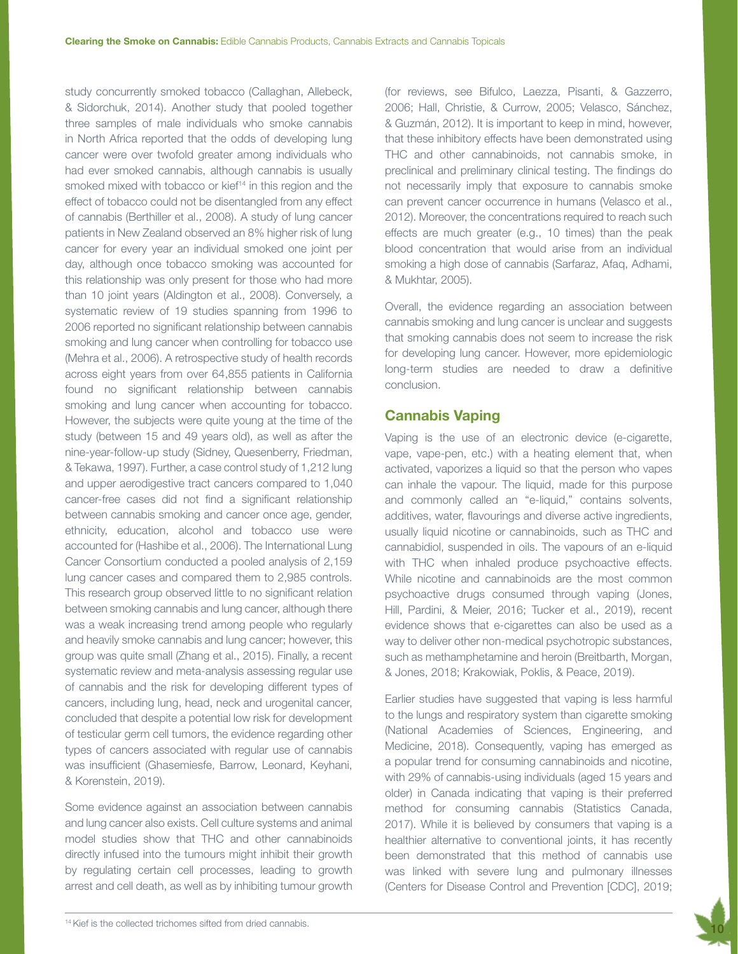study concurrently smoked tobacco (Callaghan, Allebeck, & Sidorchuk, 2014). Another study that pooled together three samples of male individuals who smoke cannabis in North Africa reported that the odds of developing lung cancer were over twofold greater among individuals who had ever smoked cannabis, although cannabis is usually smoked mixed with tobacco or kief<sup>14</sup> in this region and the effect of tobacco could not be disentangled from any effect of cannabis (Berthiller et al., 2008). A study of lung cancer patients in New Zealand observed an 8% higher risk of lung cancer for every year an individual smoked one joint per day, although once tobacco smoking was accounted for this relationship was only present for those who had more than 10 joint years (Aldington et al., 2008). Conversely, a systematic review of 19 studies spanning from 1996 to 2006 reported no significant relationship between cannabis smoking and lung cancer when controlling for tobacco use (Mehra et al., 2006). A retrospective study of health records across eight years from over 64,855 patients in California found no significant relationship between cannabis smoking and lung cancer when accounting for tobacco. However, the subjects were quite young at the time of the study (between 15 and 49 years old), as well as after the nine-year-follow-up study (Sidney, Quesenberry, Friedman, & Tekawa, 1997). Further, a case control study of 1,212 lung and upper aerodigestive tract cancers compared to 1,040 cancer-free cases did not find a significant relationship between cannabis smoking and cancer once age, gender, ethnicity, education, alcohol and tobacco use were accounted for (Hashibe et al., 2006). The International Lung Cancer Consortium conducted a pooled analysis of 2,159 lung cancer cases and compared them to 2,985 controls. This research group observed little to no significant relation between smoking cannabis and lung cancer, although there was a weak increasing trend among people who regularly and heavily smoke cannabis and lung cancer; however, this group was quite small (Zhang et al., 2015). Finally, a recent systematic review and meta-analysis assessing regular use of cannabis and the risk for developing different types of cancers, including lung, head, neck and urogenital cancer, concluded that despite a potential low risk for development of testicular germ cell tumors, the evidence regarding other types of cancers associated with regular use of cannabis was insufficient (Ghasemiesfe, Barrow, Leonard, Keyhani, & Korenstein, 2019).

Some evidence against an association between cannabis and lung cancer also exists. Cell culture systems and animal model studies show that THC and other cannabinoids directly infused into the tumours might inhibit their growth by regulating certain cell processes, leading to growth arrest and cell death, as well as by inhibiting tumour growth (for reviews, see Bifulco, Laezza, Pisanti, & Gazzerro, 2006; Hall, Christie, & Currow, 2005; Velasco, Sánchez, & Guzmán, 2012). It is important to keep in mind, however, that these inhibitory effects have been demonstrated using THC and other cannabinoids, not cannabis smoke, in preclinical and preliminary clinical testing. The findings do not necessarily imply that exposure to cannabis smoke can prevent cancer occurrence in humans (Velasco et al., 2012). Moreover, the concentrations required to reach such effects are much greater (e.g., 10 times) than the peak blood concentration that would arise from an individual smoking a high dose of cannabis (Sarfaraz, Afaq, Adhami, & Mukhtar, 2005).

Overall, the evidence regarding an association between cannabis smoking and lung cancer is unclear and suggests that smoking cannabis does not seem to increase the risk for developing lung cancer. However, more epidemiologic long-term studies are needed to draw a definitive conclusion.

## Cannabis Vaping

Vaping is the use of an electronic device (e-cigarette, vape, vape-pen, etc.) with a heating element that, when activated, vaporizes a liquid so that the person who vapes can inhale the vapour. The liquid, made for this purpose and commonly called an "e-liquid," contains solvents, additives, water, flavourings and diverse active ingredients, usually liquid nicotine or cannabinoids, such as THC and cannabidiol, suspended in oils. The vapours of an e-liquid with THC when inhaled produce psychoactive effects. While nicotine and cannabinoids are the most common psychoactive drugs consumed through vaping (Jones, Hill, Pardini, & Meier, 2016; Tucker et al., 2019), recent evidence shows that e-cigarettes can also be used as a way to deliver other non-medical psychotropic substances, such as methamphetamine and heroin (Breitbarth, Morgan, & Jones, 2018; Krakowiak, Poklis, & Peace, 2019).

Earlier studies have suggested that vaping is less harmful to the lungs and respiratory system than cigarette smoking (National Academies of Sciences, Engineering, and Medicine, 2018). Consequently, vaping has emerged as a popular trend for consuming cannabinoids and nicotine, with 29% of cannabis-using individuals (aged 15 years and older) in Canada indicating that vaping is their preferred method for consuming cannabis (Statistics Canada, 2017). While it is believed by consumers that vaping is a healthier alternative to conventional joints, it has recently been demonstrated that this method of cannabis use was linked with severe lung and pulmonary illnesses (Centers for Disease Control and Prevention [CDC], 2019;

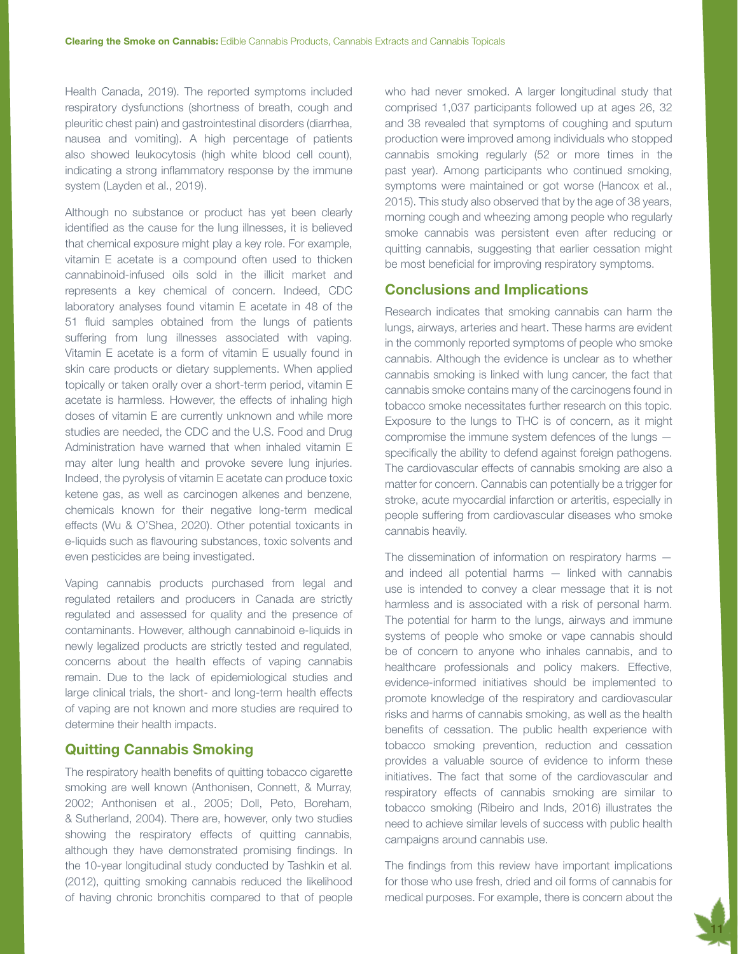Health Canada, 2019). The reported symptoms included respiratory dysfunctions (shortness of breath, cough and pleuritic chest pain) and gastrointestinal disorders (diarrhea, nausea and vomiting). A high percentage of patients also showed leukocytosis (high white blood cell count), indicating a strong inflammatory response by the immune system (Layden et al., 2019).

Although no substance or product has yet been clearly identified as the cause for the lung illnesses, it is believed that chemical exposure might play a key role. For example, vitamin E acetate is a compound often used to thicken cannabinoid-infused oils sold in the illicit market and represents a key chemical of concern. Indeed, CDC laboratory analyses found vitamin E acetate in 48 of the 51 fluid samples obtained from the lungs of patients suffering from lung illnesses associated with vaping. Vitamin E acetate is a form of vitamin E usually found in skin care products or dietary supplements. When applied topically or taken orally over a short-term period, vitamin E acetate is harmless. However, the effects of inhaling high doses of vitamin E are currently unknown and while more studies are needed, the CDC and the U.S. Food and Drug Administration have warned that when inhaled vitamin E may alter lung health and provoke severe lung injuries. Indeed, the pyrolysis of vitamin E acetate can produce toxic ketene gas, as well as carcinogen alkenes and benzene, chemicals known for their negative long-term medical effects (Wu & O'Shea, 2020). Other potential toxicants in e-liquids such as flavouring substances, toxic solvents and even pesticides are being investigated.

Vaping cannabis products purchased from legal and regulated retailers and producers in Canada are strictly regulated and assessed for quality and the presence of contaminants. However, although cannabinoid e-liquids in newly legalized products are strictly tested and regulated, concerns about the health effects of vaping cannabis remain. Due to the lack of epidemiological studies and large clinical trials, the short- and long-term health effects of vaping are not known and more studies are required to determine their health impacts.

## Quitting Cannabis Smoking

The respiratory health benefits of quitting tobacco cigarette smoking are well known (Anthonisen, Connett, & Murray, 2002; Anthonisen et al., 2005; Doll, Peto, Boreham, & Sutherland, 2004). There are, however, only two studies showing the respiratory effects of quitting cannabis, although they have demonstrated promising findings. In the 10-year longitudinal study conducted by Tashkin et al. (2012), quitting smoking cannabis reduced the likelihood of having chronic bronchitis compared to that of people

who had never smoked. A larger longitudinal study that comprised 1,037 participants followed up at ages 26, 32 and 38 revealed that symptoms of coughing and sputum production were improved among individuals who stopped cannabis smoking regularly (52 or more times in the past year). Among participants who continued smoking, symptoms were maintained or got worse (Hancox et al., 2015). This study also observed that by the age of 38 years, morning cough and wheezing among people who regularly smoke cannabis was persistent even after reducing or quitting cannabis, suggesting that earlier cessation might be most beneficial for improving respiratory symptoms.

## Conclusions and Implications

Research indicates that smoking cannabis can harm the lungs, airways, arteries and heart. These harms are evident in the commonly reported symptoms of people who smoke cannabis. Although the evidence is unclear as to whether cannabis smoking is linked with lung cancer, the fact that cannabis smoke contains many of the carcinogens found in tobacco smoke necessitates further research on this topic. Exposure to the lungs to THC is of concern, as it might compromise the immune system defences of the lungs specifically the ability to defend against foreign pathogens. The cardiovascular effects of cannabis smoking are also a matter for concern. Cannabis can potentially be a trigger for stroke, acute myocardial infarction or arteritis, especially in people suffering from cardiovascular diseases who smoke cannabis heavily.

The dissemination of information on respiratory harms and indeed all potential harms — linked with cannabis use is intended to convey a clear message that it is not harmless and is associated with a risk of personal harm. The potential for harm to the lungs, airways and immune systems of people who smoke or vape cannabis should be of concern to anyone who inhales cannabis, and to healthcare professionals and policy makers. Effective, evidence-informed initiatives should be implemented to promote knowledge of the respiratory and cardiovascular risks and harms of cannabis smoking, as well as the health benefits of cessation. The public health experience with tobacco smoking prevention, reduction and cessation provides a valuable source of evidence to inform these initiatives. The fact that some of the cardiovascular and respiratory effects of cannabis smoking are similar to tobacco smoking (Ribeiro and Inds, 2016) illustrates the need to achieve similar levels of success with public health campaigns around cannabis use.

The findings from this review have important implications for those who use fresh, dried and oil forms of cannabis for medical purposes. For example, there is concern about the

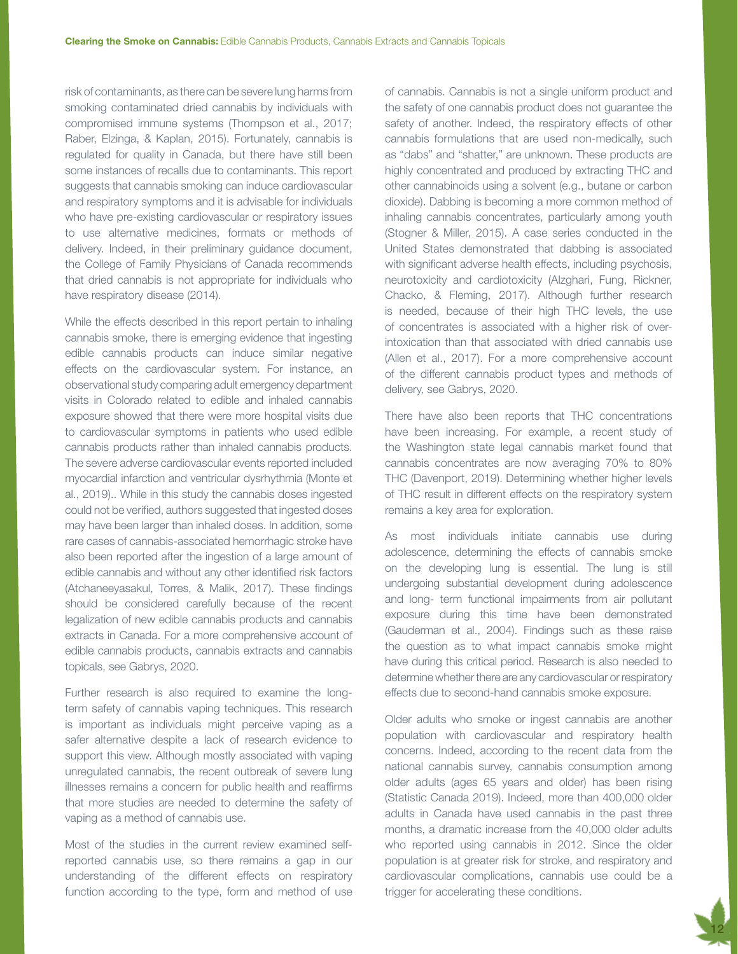risk of contaminants, as there can be severe lung harms from smoking contaminated dried cannabis by individuals with compromised immune systems (Thompson et al., 2017; Raber, Elzinga, & Kaplan, 2015). Fortunately, cannabis is regulated for quality in Canada, but there have still been some instances of recalls due to contaminants. This report suggests that cannabis smoking can induce cardiovascular and respiratory symptoms and it is advisable for individuals who have pre-existing cardiovascular or respiratory issues to use alternative medicines, formats or methods of delivery. Indeed, in their preliminary guidance document, the College of Family Physicians of Canada recommends that dried cannabis is not appropriate for individuals who have respiratory disease (2014).

While the effects described in this report pertain to inhaling cannabis smoke, there is emerging evidence that ingesting edible cannabis products can induce similar negative effects on the cardiovascular system. For instance, an observational study comparing adult emergency department visits in Colorado related to edible and inhaled cannabis exposure showed that there were more hospital visits due to cardiovascular symptoms in patients who used edible cannabis products rather than inhaled cannabis products. The severe adverse cardiovascular events reported included myocardial infarction and ventricular dysrhythmia (Monte et al., 2019).. While in this study the cannabis doses ingested could not be verified, authors suggested that ingested doses may have been larger than inhaled doses. In addition, some rare cases of cannabis-associated hemorrhagic stroke have also been reported after the ingestion of a large amount of edible cannabis and without any other identified risk factors (Atchaneeyasakul, Torres, & Malik, 2017). These findings should be considered carefully because of the recent legalization of new edible cannabis products and cannabis extracts in Canada. For a more comprehensive account of edible cannabis products, cannabis extracts and cannabis topicals, see Gabrys, 2020.

Further research is also required to examine the longterm safety of cannabis vaping techniques. This research is important as individuals might perceive vaping as a safer alternative despite a lack of research evidence to support this view. Although mostly associated with vaping unregulated cannabis, the recent outbreak of severe lung illnesses remains a concern for public health and reaffirms that more studies are needed to determine the safety of vaping as a method of cannabis use.

Most of the studies in the current review examined selfreported cannabis use, so there remains a gap in our understanding of the different effects on respiratory function according to the type, form and method of use

of cannabis. Cannabis is not a single uniform product and the safety of one cannabis product does not guarantee the safety of another. Indeed, the respiratory effects of other cannabis formulations that are used non-medically, such as "dabs" and "shatter," are unknown. These products are highly concentrated and produced by extracting THC and other cannabinoids using a solvent (e.g., butane or carbon dioxide). Dabbing is becoming a more common method of inhaling cannabis concentrates, particularly among youth (Stogner & Miller, 2015). A case series conducted in the United States demonstrated that dabbing is associated with significant adverse health effects, including psychosis, neurotoxicity and cardiotoxicity (Alzghari, Fung, Rickner, Chacko, & Fleming, 2017). Although further research is needed, because of their high THC levels, the use of concentrates is associated with a higher risk of overintoxication than that associated with dried cannabis use (Allen et al., 2017). For a more comprehensive account of the different cannabis product types and methods of delivery, see Gabrys, 2020.

There have also been reports that THC concentrations have been increasing. For example, a recent study of the Washington state legal cannabis market found that cannabis concentrates are now averaging 70% to 80% THC (Davenport, 2019). Determining whether higher levels of THC result in different effects on the respiratory system remains a key area for exploration.

As most individuals initiate cannabis use during adolescence, determining the effects of cannabis smoke on the developing lung is essential. The lung is still undergoing substantial development during adolescence and long- term functional impairments from air pollutant exposure during this time have been demonstrated (Gauderman et al., 2004). Findings such as these raise the question as to what impact cannabis smoke might have during this critical period. Research is also needed to determine whether there are any cardiovascular or respiratory effects due to second-hand cannabis smoke exposure.

Older adults who smoke or ingest cannabis are another population with cardiovascular and respiratory health concerns. Indeed, according to the recent data from the national cannabis survey, cannabis consumption among older adults (ages 65 years and older) has been rising (Statistic Canada 2019). Indeed, more than 400,000 older adults in Canada have used cannabis in the past three months, a dramatic increase from the 40,000 older adults who reported using cannabis in 2012. Since the older population is at greater risk for stroke, and respiratory and cardiovascular complications, cannabis use could be a trigger for accelerating these conditions.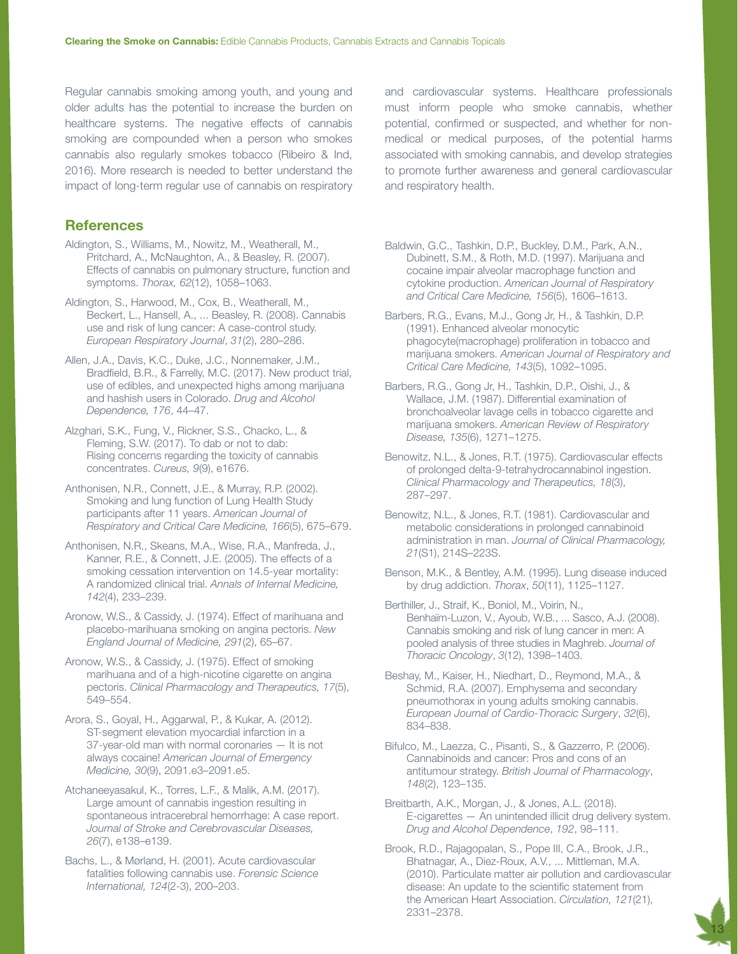Regular cannabis smoking among youth, and young and older adults has the potential to increase the burden on healthcare systems. The negative effects of cannabis smoking are compounded when a person who smokes cannabis also regularly smokes tobacco (Ribeiro & Ind, 2016). More research is needed to better understand the impact of long-term regular use of cannabis on respiratory

#### **References**

- Aldington, S., Williams, M., Nowitz, M., Weatherall, M., Pritchard, A., McNaughton, A., & Beasley, R. (2007). Effects of cannabis on pulmonary structure, function and symptoms. *Thorax, 62*(12), 1058–1063.
- Aldington, S., Harwood, M., Cox, B., Weatherall, M., Beckert, L., Hansell, A., ... Beasley, R. (2008). Cannabis use and risk of lung cancer: A case-control study. *European Respiratory Journal*, *31*(2), 280–286.
- Allen, J.A., Davis, K.C., Duke, J.C., Nonnemaker, J.M., Bradfield, B.R., & Farrelly, M.C. (2017). New product trial, use of edibles, and unexpected highs among marijuana and hashish users in Colorado. *Drug and Alcohol Dependence, 176*, 44–47.
- Alzghari, S.K., Fung, V., Rickner, S.S., Chacko, L., & Fleming, S.W. (2017). To dab or not to dab: Rising concerns regarding the toxicity of cannabis concentrates. *Cureus, 9*(9), e1676.
- Anthonisen, N.R., Connett, J.E., & Murray, R.P. (2002). Smoking and lung function of Lung Health Study participants after 11 years. *American Journal of Respiratory and Critical Care Medicine, 166*(5), 675–679.
- Anthonisen, N.R., Skeans, M.A., Wise, R.A., Manfreda, J., Kanner, R.E., & Connett, J.E. (2005). The effects of a smoking cessation intervention on 14.5-year mortality: A randomized clinical trial. *Annals of Internal Medicine, 142*(4), 233–239.
- Aronow, W.S., & Cassidy, J. (1974). Effect of marihuana and placebo-marihuana smoking on angina pectoris. *New England Journal of Medicine, 291*(2), 65–67.
- Aronow, W.S., & Cassidy, J. (1975). Effect of smoking marihuana and of a high‐nicotine cigarette on angina pectoris. *Clinical Pharmacology and Therapeutics, 17*(5), 549–554.
- Arora, S., Goyal, H., Aggarwal, P., & Kukar, A. (2012). ST-segment elevation myocardial infarction in a 37-year-old man with normal coronaries — It is not always cocaine! *American Journal of Emergency Medicine, 30*(9), 2091.e3–2091.e5.
- Atchaneeyasakul, K., Torres, L.F., & Malik, A.M. (2017). Large amount of cannabis ingestion resulting in spontaneous intracerebral hemorrhage: A case report. *Journal of Stroke and Cerebrovascular Diseases, 26*(7), e138–e139.
- Bachs, L., & Mørland, H. (2001). Acute cardiovascular fatalities following cannabis use. *Forensic Science International, 124*(2-3), 200–203.

and cardiovascular systems. Healthcare professionals must inform people who smoke cannabis, whether potential, confirmed or suspected, and whether for nonmedical or medical purposes, of the potential harms associated with smoking cannabis, and develop strategies to promote further awareness and general cardiovascular and respiratory health.

Baldwin, G.C., Tashkin, D.P., Buckley, D.M., Park, A.N., Dubinett, S.M., & Roth, M.D. (1997). Marijuana and cocaine impair alveolar macrophage function and cytokine production. *American Journal of Respiratory and Critical Care Medicine, 156*(5), 1606–1613.

- Barbers, R.G., Evans, M.J., Gong Jr, H., & Tashkin, D.P. (1991). Enhanced alveolar monocytic phagocyte(macrophage) proliferation in tobacco and marijuana smokers. *American Journal of Respiratory and Critical Care Medicine, 143*(5), 1092–1095.
- Barbers, R.G., Gong Jr, H., Tashkin, D.P., Oishi, J., & Wallace, J.M. (1987). Differential examination of bronchoalveolar lavage cells in tobacco cigarette and marijuana smokers. *American Review of Respiratory Disease, 135*(6), 1271–1275.
- Benowitz, N.L., & Jones, R.T. (1975). Cardiovascular effects of prolonged delta‐9‐tetrahydrocannabinol ingestion. *Clinical Pharmacology and Therapeutics, 18*(3), 287–297.
- Benowitz, N.L., & Jones, R.T. (1981). Cardiovascular and metabolic considerations in prolonged cannabinoid administration in man. *Journal of Clinical Pharmacology, 21*(S1), 214S–223S.
- Benson, M.K., & Bentley, A.M. (1995). Lung disease induced by drug addiction. *Thorax*, *50*(11), 1125–1127.
- Berthiller, J., Straif, K., Boniol, M., Voirin, N., Benhaïm-Luzon, V., Ayoub, W.B., ... Sasco, A.J. (2008). Cannabis smoking and risk of lung cancer in men: A pooled analysis of three studies in Maghreb. *Journal of Thoracic Oncology*, *3*(12), 1398–1403.
- Beshay, M., Kaiser, H., Niedhart, D., Reymond, M.A., & Schmid, R.A. (2007). Emphysema and secondary pneumothorax in young adults smoking cannabis. *European Journal of Cardio-Thoracic Surgery*, *32*(6), 834–838.
- Bifulco, M., Laezza, C., Pisanti, S., & Gazzerro, P. (2006). Cannabinoids and cancer: Pros and cons of an antitumour strategy. *British Journal of Pharmacology*, *148*(2), 123–135.
- Breitbarth, A.K., Morgan, J., & Jones, A.L. (2018). E-cigarettes — An unintended illicit drug delivery system. *Drug and Alcohol Dependence*, *192*, 98–111.
- Brook, R.D., Rajagopalan, S., Pope III, C.A., Brook, J.R., Bhatnagar, A., Diez-Roux, A.V., ... Mittleman, M.A. (2010). Particulate matter air pollution and cardiovascular disease: An update to the scientific statement from the American Heart Association. *Circulation, 121*(21), 2331–2378.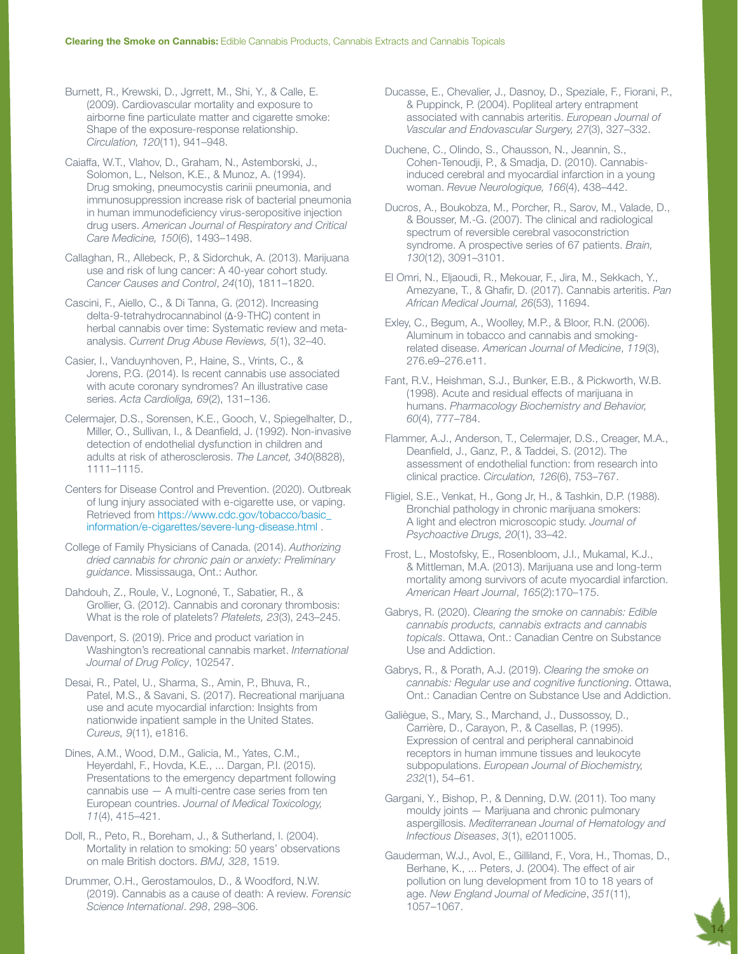Burnett, R., Krewski, D., Jgrrett, M., Shi, Y., & Calle, E. (2009). Cardiovascular mortality and exposure to airborne fine particulate matter and cigarette smoke: Shape of the exposure-response relationship. *Circulation, 120*(11), 941–948.

Caiaffa, W.T., Vlahov, D., Graham, N., Astemborski, J., Solomon, L., Nelson, K.E., & Munoz, A. (1994). Drug smoking, pneumocystis carinii pneumonia, and immunosuppression increase risk of bacterial pneumonia in human immunodeficiency virus-seropositive injection drug users. *American Journal of Respiratory and Critical Care Medicine, 150*(6), 1493–1498.

Callaghan, R., Allebeck, P., & Sidorchuk, A. (2013). Marijuana use and risk of lung cancer: A 40-year cohort study. *Cancer Causes and Control*, *24*(10), 1811–1820.

Cascini, F., Aiello, C., & Di Tanna, G. (2012). Increasing delta-9-tetrahydrocannabinol (Δ-9-THC) content in herbal cannabis over time: Systematic review and metaanalysis. *Current Drug Abuse Reviews, 5*(1), 32–40.

Casier, I., Vanduynhoven, P., Haine, S., Vrints, C., & Jorens, P.G. (2014). Is recent cannabis use associated with acute coronary syndromes? An illustrative case series. *Acta Cardioliga, 69*(2), 131–136.

Celermajer, D.S., Sorensen, K.E., Gooch, V., Spiegelhalter, D., Miller, O., Sullivan, I., & Deanfield, J. (1992). Non-invasive detection of endothelial dysfunction in children and adults at risk of atherosclerosis. *The Lancet, 340*(8828), 1111–1115.

Centers for Disease Control and Prevention. (2020). Outbreak of lung injury associated with e-cigarette use, or vaping. Retrieved from [https://www.cdc.gov/tobacco/basic\\_](https://www.cdc.gov/tobacco/basic_information/e-cigarettes/severe-lung-disease.html) [information/e-cigarettes/severe-lung-disease.html](https://www.cdc.gov/tobacco/basic_information/e-cigarettes/severe-lung-disease.html) .

College of Family Physicians of Canada. (2014). *Authorizing dried cannabis for chronic pain or anxiety: Preliminary guidance*. Mississauga, Ont.: Author.

Dahdouh, Z., Roule, V., Lognoné, T., Sabatier, R., & Grollier, G. (2012). Cannabis and coronary thrombosis: What is the role of platelets? *Platelets, 23*(3), 243–245.

Davenport, S. (2019). Price and product variation in Washington's recreational cannabis market. *International Journal of Drug Policy*, 102547.

Desai, R., Patel, U., Sharma, S., Amin, P., Bhuva, R., Patel, M.S., & Savani, S. (2017). Recreational marijuana use and acute myocardial infarction: Insights from nationwide inpatient sample in the United States. *Cureus, 9*(11), e1816.

Dines, A.M., Wood, D.M., Galicia, M., Yates, C.M., Heyerdahl, F., Hovda, K.E., ... Dargan, P.I. (2015). Presentations to the emergency department following cannabis use — A multi-centre case series from ten European countries. *Journal of Medical Toxicology, 11*(4), 415–421.

Doll, R., Peto, R., Boreham, J., & Sutherland, I. (2004). Mortality in relation to smoking: 50 years' observations on male British doctors. *BMJ, 328*, 1519.

Drummer, O.H., Gerostamoulos, D., & Woodford, N.W. (2019). Cannabis as a cause of death: A review. *Forensic Science International*. *298*, 298–306.

Ducasse, E., Chevalier, J., Dasnoy, D., Speziale, F., Fiorani, P., & Puppinck, P. (2004). Popliteal artery entrapment associated with cannabis arteritis. *European Journal of Vascular and Endovascular Surgery, 27*(3), 327–332.

Duchene, C., Olindo, S., Chausson, N., Jeannin, S., Cohen-Tenoudji, P., & Smadja, D. (2010). Cannabisinduced cerebral and myocardial infarction in a young woman. *Revue Neurologique, 166*(4), 438–442.

Ducros, A., Boukobza, M., Porcher, R., Sarov, M., Valade, D., & Bousser, M.-G. (2007). The clinical and radiological spectrum of reversible cerebral vasoconstriction syndrome. A prospective series of 67 patients. *Brain, 130*(12), 3091–3101.

El Omri, N., Eljaoudi, R., Mekouar, F., Jira, M., Sekkach, Y., Amezyane, T., & Ghafir, D. (2017). Cannabis arteritis. *Pan African Medical Journal, 26*(53), 11694.

Exley, C., Begum, A., Woolley, M.P., & Bloor, R.N. (2006). Aluminum in tobacco and cannabis and smokingrelated disease. *American Journal of Medicine*, *119*(3), 276.e9–276.e11.

Fant, R.V., Heishman, S.J., Bunker, E.B., & Pickworth, W.B. (1998). Acute and residual effects of marijuana in humans. *Pharmacology Biochemistry and Behavior, 60*(4), 777–784.

Flammer, A.J., Anderson, T., Celermajer, D.S., Creager, M.A., Deanfield, J., Ganz, P., & Taddei, S. (2012). The assessment of endothelial function: from research into clinical practice. *Circulation, 126*(6), 753–767.

Fligiel, S.E., Venkat, H., Gong Jr, H., & Tashkin, D.P. (1988). Bronchial pathology in chronic marijuana smokers: A light and electron microscopic study. *Journal of Psychoactive Drugs, 20*(1), 33–42.

[Frost, L.](https://www.ncbi.nlm.nih.gov/pubmed/?term=Frost%20L%5BAuthor%5D&cauthor=true&cauthor_uid=23351819), [Mostofsky, E.](https://www.ncbi.nlm.nih.gov/pubmed/?term=Mostofsky%20E%5BAuthor%5D&cauthor=true&cauthor_uid=23351819), [Rosenbloom, J.I](https://www.ncbi.nlm.nih.gov/pubmed/?term=Rosenbloom%20JI%5BAuthor%5D&cauthor=true&cauthor_uid=23351819)., [Mukamal, K.J](https://www.ncbi.nlm.nih.gov/pubmed/?term=Mukamal%20KJ%5BAuthor%5D&cauthor=true&cauthor_uid=23351819)., & [Mittleman, M.A](https://www.ncbi.nlm.nih.gov/pubmed/?term=Mittleman%20MA%5BAuthor%5D&cauthor=true&cauthor_uid=23351819). (2013). Marijuana use and long-term mortality among survivors of acute myocardial infarction. *American Heart Journal*, *165*(2):170–175.

Gabrys, R. (2020). *Clearing the smoke on cannabis: Edible cannabis products, cannabis extracts and cannabis topicals*. Ottawa, Ont.: Canadian Centre on Substance Use and Addiction.

Gabrys, R., & Porath, A.J. (2019). *Clearing the smoke on cannabis: Regular use and cognitive functioning*. Ottawa, Ont.: Canadian Centre on Substance Use and Addiction.

Galiègue, S., Mary, S., Marchand, J., Dussossoy, D., Carrière, D., Carayon, P., & Casellas, P. (1995). Expression of central and peripheral cannabinoid receptors in human immune tissues and leukocyte subpopulations. *European Journal of Biochemistry, 232*(1), 54–61.

Gargani, Y., Bishop, P., & Denning, D.W. (2011). Too many mouldy joints — Marijuana and chronic pulmonary aspergillosis. *Mediterranean Journal of Hematology and Infectious Diseases*, *3*(1), e2011005.

Gauderman, W.J., Avol, E., Gilliland, F., Vora, H., Thomas, D., Berhane, K., ... Peters, J. (2004). The effect of air pollution on lung development from 10 to 18 years of age. *New England Journal of Medicine*, *351*(11), 1057–1067.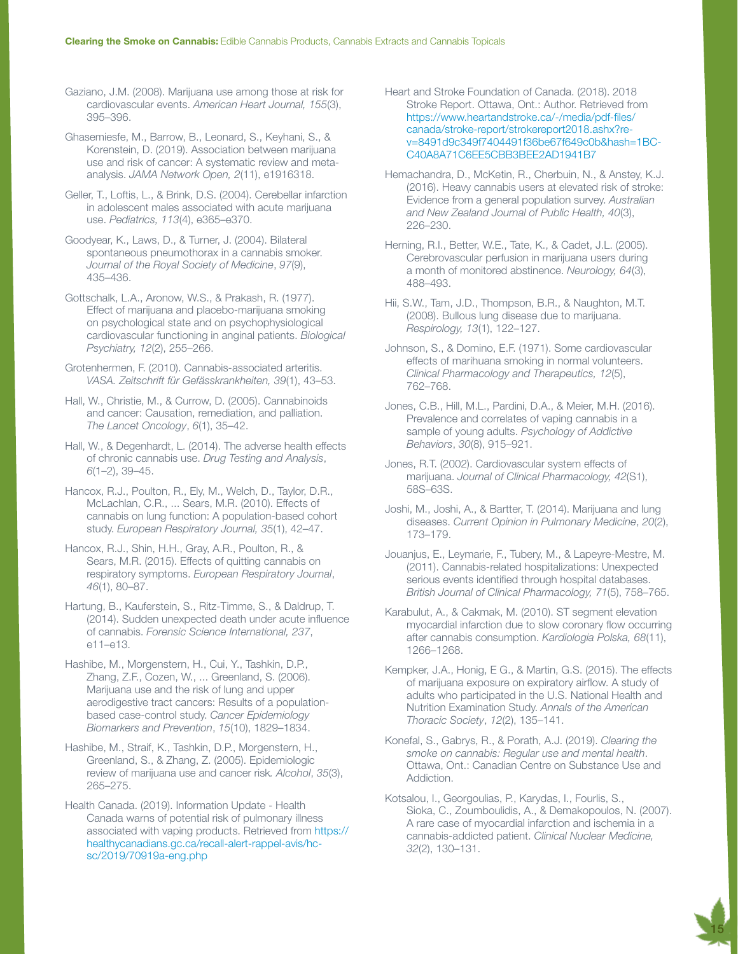Gaziano, J.M. (2008). Marijuana use among those at risk for cardiovascular events. *American Heart Journal, 155*(3), 395–396.

Ghasemiesfe, M., Barrow, B., Leonard, S., Keyhani, S., & Korenstein, D. (2019). Association between marijuana use and risk of cancer: A systematic review and metaanalysis. *JAMA Network Open, 2*(11), e1916318.

Geller, T., Loftis, L., & Brink, D.S. (2004). Cerebellar infarction in adolescent males associated with acute marijuana use. *Pediatrics, 113*(4), e365–e370.

Goodyear, K., Laws, D., & Turner, J. (2004). Bilateral spontaneous pneumothorax in a cannabis smoker. *Journal of the Royal Society of Medicine*, *97*(9), 435–436.

Gottschalk, L.A., Aronow, W.S., & Prakash, R. (1977). Effect of marijuana and placebo-marijuana smoking on psychological state and on psychophysiological cardiovascular functioning in anginal patients. *Biological Psychiatry, 12*(2), 255–266.

Grotenhermen, F. (2010). Cannabis-associated arteritis. *VASA. Zeitschrift für Gefässkrankheiten, 39*(1), 43–53.

Hall, W., Christie, M., & Currow, D. (2005). Cannabinoids and cancer: Causation, remediation, and palliation. *The Lancet Oncology*, *6*(1), 35–42.

Hall, W., & Degenhardt, L. (2014). The adverse health effects of chronic cannabis use. *Drug Testing and Analysis*, *6*(1–2), 39–45.

Hancox, R.J., Poulton, R., Ely, M., Welch, D., Taylor, D.R., McLachlan, C.R., ... Sears, M.R. (2010). Effects of cannabis on lung function: A population-based cohort study. *European Respiratory Journal, 35*(1), 42–47.

Hancox, R.J., Shin, H.H., Gray, A.R., Poulton, R., & Sears, M.R. (2015). Effects of quitting cannabis on respiratory symptoms. *European Respiratory Journal*, *46*(1), 80–87.

Hartung, B., Kauferstein, S., Ritz-Timme, S., & Daldrup, T. (2014). Sudden unexpected death under acute influence of cannabis. *Forensic Science International, 237*, e11–e13.

Hashibe, M., Morgenstern, H., Cui, Y., Tashkin, D.P., Zhang, Z.F., Cozen, W., ... Greenland, S. (2006). Marijuana use and the risk of lung and upper aerodigestive tract cancers: Results of a populationbased case-control study. *Cancer Epidemiology Biomarkers and Prevention*, *15*(10), 1829–1834.

Hashibe, M., Straif, K., Tashkin, D.P., Morgenstern, H., Greenland, S., & Zhang, Z. (2005). Epidemiologic review of marijuana use and cancer risk*. Alcohol*, *35*(3), 265–275.

Health Canada. (2019). Information Update - Health Canada warns of potential risk of pulmonary illness associated with vaping products. Retrieved from [https://](https://healthycanadians.gc.ca/recall-alert-rappel-avis/hc-sc/2019/70919a-eng.php) [healthycanadians.gc.ca/recall-alert-rappel-avis/hc](https://healthycanadians.gc.ca/recall-alert-rappel-avis/hc-sc/2019/70919a-eng.php)[sc/2019/70919a-eng.php](https://healthycanadians.gc.ca/recall-alert-rappel-avis/hc-sc/2019/70919a-eng.php)

Heart and Stroke Foundation of Canada. (2018). 2018 Stroke Report. Ottawa, Ont.: Author. Retrieved from [https://www.heartandstroke.ca/-/media/pdf-files/](https://www.heartandstroke.ca/-/media/pdf-files/canada/stroke-report/strokereport2018.ashx?rev=8491d9c349f7404491f36be67f649c0b&hash=1BCC40A8A71C6EE5CBB3BEE2AD1941B7) [canada/stroke-report/strokereport2018.ashx?re](https://www.heartandstroke.ca/-/media/pdf-files/canada/stroke-report/strokereport2018.ashx?rev=8491d9c349f7404491f36be67f649c0b&hash=1BCC40A8A71C6EE5CBB3BEE2AD1941B7)[v=8491d9c349f7404491f36be67f649c0b&hash=1BC-](https://www.heartandstroke.ca/-/media/pdf-files/canada/stroke-report/strokereport2018.ashx?rev=8491d9c349f7404491f36be67f649c0b&hash=1BCC40A8A71C6EE5CBB3BEE2AD1941B7)[C40A8A71C6EE5CBB3BEE2AD1941B7](https://www.heartandstroke.ca/-/media/pdf-files/canada/stroke-report/strokereport2018.ashx?rev=8491d9c349f7404491f36be67f649c0b&hash=1BCC40A8A71C6EE5CBB3BEE2AD1941B7) 

Hemachandra, D., McKetin, R., Cherbuin, N., & Anstey, K.J. (2016). Heavy cannabis users at elevated risk of stroke: Evidence from a general population survey. *Australian and New Zealand Journal of Public Health, 40*(3), 226–230.

Herning, R.I., Better, W.E., Tate, K., & Cadet, J.L. (2005). Cerebrovascular perfusion in marijuana users during a month of monitored abstinence. *Neurology, 64*(3), 488–493.

Hii, S.W., Tam, J.D., Thompson, B.R., & Naughton, M.T. (2008). Bullous lung disease due to marijuana. *Respirology, 13*(1), 122–127.

Johnson, S., & Domino, E.F. (1971). Some cardiovascular effects of marihuana smoking in normal volunteers. *Clinical Pharmacology and Therapeutics, 12*(5), 762–768.

Jones, C.B., Hill, M.L., Pardini, D.A., & Meier, M.H. (2016). Prevalence and correlates of vaping cannabis in a sample of young adults. *Psychology of Addictive Behaviors*, *30*(8), 915–921.

Jones, R.T. (2002). Cardiovascular system effects of marijuana. *Journal of Clinical Pharmacology, 42*(S1), 58S–63S.

Joshi, M., Joshi, A., & Bartter, T. (2014). Marijuana and lung diseases. *Current Opinion in Pulmonary Medicine*, *20*(2), 173–179.

Jouanjus, E., Leymarie, F., Tubery, M., & Lapeyre-Mestre, M. (2011). Cannabis-related hospitalizations: Unexpected serious events identified through hospital databases. *British Journal of Clinical Pharmacology, 71*(5), 758–765.

Karabulut, A., & Cakmak, M. (2010). ST segment elevation myocardial infarction due to slow coronary flow occurring after cannabis consumption. *Kardiologia Polska, 68*(11), 1266–1268.

Kempker, J.A., Honig, E G., & Martin, G.S. (2015). The effects of marijuana exposure on expiratory airflow. A study of adults who participated in the U.S. National Health and Nutrition Examination Study. *Annals of the American Thoracic Society*, *12*(2), 135–141.

Konefal, S., Gabrys, R., & Porath, A.J. (2019). *Clearing the smoke on cannabis: Regular use and mental health*. Ottawa, Ont.: Canadian Centre on Substance Use and Addiction.

Kotsalou, I., Georgoulias, P., Karydas, I., Fourlis, S., Sioka, C., Zoumboulidis, A., & Demakopoulos, N. (2007). A rare case of myocardial infarction and ischemia in a cannabis-addicted patient. *Clinical Nuclear Medicine, 32*(2), 130–131.

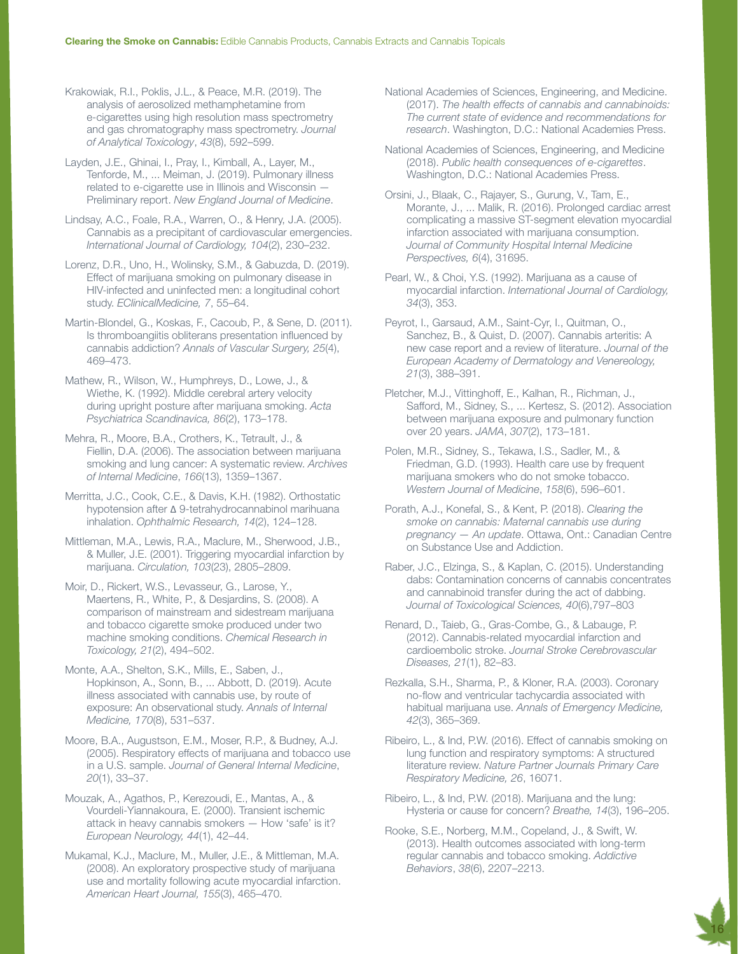Krakowiak, R.I., Poklis, J.L., & Peace, M.R. (2019). The analysis of aerosolized methamphetamine from e-cigarettes using high resolution mass spectrometry and gas chromatography mass spectrometry. *Journal of Analytical Toxicology*, *43*(8), 592–599.

Layden, J.E., Ghinai, I., Pray, I., Kimball, A., Layer, M., Tenforde, M., ... Meiman, J. (2019). Pulmonary illness related to e-cigarette use in Illinois and Wisconsin — Preliminary report. *New England Journal of Medicine*.

Lindsay, A.C., Foale, R.A., Warren, O., & Henry, J.A. (2005). Cannabis as a precipitant of cardiovascular emergencies. *International Journal of Cardiology, 104*(2), 230–232.

Lorenz, D.R., Uno, H., Wolinsky, S.M., & Gabuzda, D. (2019). Effect of marijuana smoking on pulmonary disease in HIV-infected and uninfected men: a longitudinal cohort study. *EClinicalMedicine, 7*, 55–64.

Martin-Blondel, G., Koskas, F., Cacoub, P., & Sene, D. (2011). Is thromboangiitis obliterans presentation influenced by cannabis addiction? *Annals of Vascular Surgery, 25*(4), 469–473.

Mathew, R., Wilson, W., Humphreys, D., Lowe, J., & Wiethe, K. (1992). Middle cerebral artery velocity during upright posture after marijuana smoking. *Acta Psychiatrica Scandinavica, 86*(2), 173–178.

Mehra, R., Moore, B.A., Crothers, K., Tetrault, J., & Fiellin, D.A. (2006). The association between marijuana smoking and lung cancer: A systematic review. *Archives of Internal Medicine*, *166*(13), 1359–1367.

Merritta, J.C., Cook, C.E., & Davis, K.H. (1982). Orthostatic hypotension after Δ 9-tetrahydrocannabinol marihuana inhalation. *Ophthalmic Research, 14*(2), 124–128.

Mittleman, M.A., Lewis, R.A., Maclure, M., Sherwood, J.B., & Muller, J.E. (2001). Triggering myocardial infarction by marijuana. *Circulation, 103*(23), 2805–2809.

Moir, D., Rickert, W.S., Levasseur, G., Larose, Y., Maertens, R., White, P., & Desjardins, S. (2008). A comparison of mainstream and sidestream marijuana and tobacco cigarette smoke produced under two machine smoking conditions. *Chemical Research in Toxicology, 21*(2), 494–502.

Monte, A.A., Shelton, S.K., Mills, E., Saben, J., Hopkinson, A., Sonn, B., ... Abbott, D. (2019). Acute illness associated with cannabis use, by route of exposure: An observational study. *Annals of Internal Medicine, 170*(8), 531–537.

Moore, B.A., Augustson, E.M., Moser, R.P., & Budney, A.J. (2005). Respiratory effects of marijuana and tobacco use in a U.S. sample. *Journal of General Internal Medicine*, *20*(1), 33–37.

Mouzak, A., Agathos, P., Kerezoudi, E., Mantas, A., & Vourdeli-Yiannakoura, E. (2000). Transient ischemic attack in heavy cannabis smokers — How 'safe' is it? *European Neurology, 44*(1), 42–44.

Mukamal, K.J., Maclure, M., Muller, J.E., & Mittleman, M.A. (2008). An exploratory prospective study of marijuana use and mortality following acute myocardial infarction. *American Heart Journal, 155*(3), 465–470.

National Academies of Sciences, Engineering, and Medicine. (2017). *The health effects of cannabis and cannabinoids: The current state of evidence and recommendations for research*. Washington, D.C.: National Academies Press.

National Academies of Sciences, Engineering, and Medicine (2018). *Public health consequences of e-cigarettes*. Washington, D.C.: National Academies Press.

Orsini, J., Blaak, C., Rajayer, S., Gurung, V., Tam, E., Morante, J., ... Malik, R. (2016). Prolonged cardiac arrest complicating a massive ST-segment elevation myocardial infarction associated with marijuana consumption. *Journal of Community Hospital Internal Medicine Perspectives, 6*(4), 31695.

Pearl, W., & Choi, Y.S. (1992). Marijuana as a cause of myocardial infarction. *International Journal of Cardiology, 34*(3), 353.

Peyrot, I., Garsaud, A.M., Saint-Cyr, I., Quitman, O., Sanchez, B., & Quist, D. (2007). Cannabis arteritis: A new case report and a review of literature. *Journal of the European Academy of Dermatology and Venereology, 21*(3), 388–391.

Pletcher, M.J., Vittinghoff, E., Kalhan, R., Richman, J., Safford, M., Sidney, S., ... Kertesz, S. (2012). Association between marijuana exposure and pulmonary function over 20 years. *JAMA*, *307*(2), 173–181.

Polen, M.R., Sidney, S., Tekawa, I.S., Sadler, M., & Friedman, G.D. (1993). Health care use by frequent marijuana smokers who do not smoke tobacco. *Western Journal of Medicine*, *158*(6), 596–601.

Porath, A.J., Konefal, S., & Kent, P. (2018). *Clearing the smoke on cannabis: Maternal cannabis use during pregnancy — An update*. Ottawa, Ont.: Canadian Centre on Substance Use and Addiction.

Raber, J.C., Elzinga, S., & Kaplan, C. (2015). Understanding dabs: Contamination concerns of cannabis concentrates and cannabinoid transfer during the act of dabbing. *Journal of Toxicological Sciences, 40*(6),797–803

Renard, D., Taieb, G., Gras-Combe, G., & Labauge, P. (2012). Cannabis-related myocardial infarction and cardioembolic stroke. *Journal Stroke Cerebrovascular Diseases, 21*(1), 82–83.

Rezkalla, S.H., Sharma, P., & Kloner, R.A. (2003). Coronary no-flow and ventricular tachycardia associated with habitual marijuana use. *Annals of Emergency Medicine, 42*(3), 365–369.

Ribeiro, L., & Ind, P.W. (2016). Effect of cannabis smoking on lung function and respiratory symptoms: A structured literature review. *Nature Partner Journals Primary Care Respiratory Medicine, 26*, 16071.

Ribeiro, L., & Ind, P.W. (2018). Marijuana and the lung: Hysteria or cause for concern? *Breathe, 14*(3), 196–205.

16

Rooke, S.E., Norberg, M.M., Copeland, J., & Swift, W. (2013). Health outcomes associated with long-term regular cannabis and tobacco smoking. *Addictive Behaviors*, *38*(6), 2207–2213.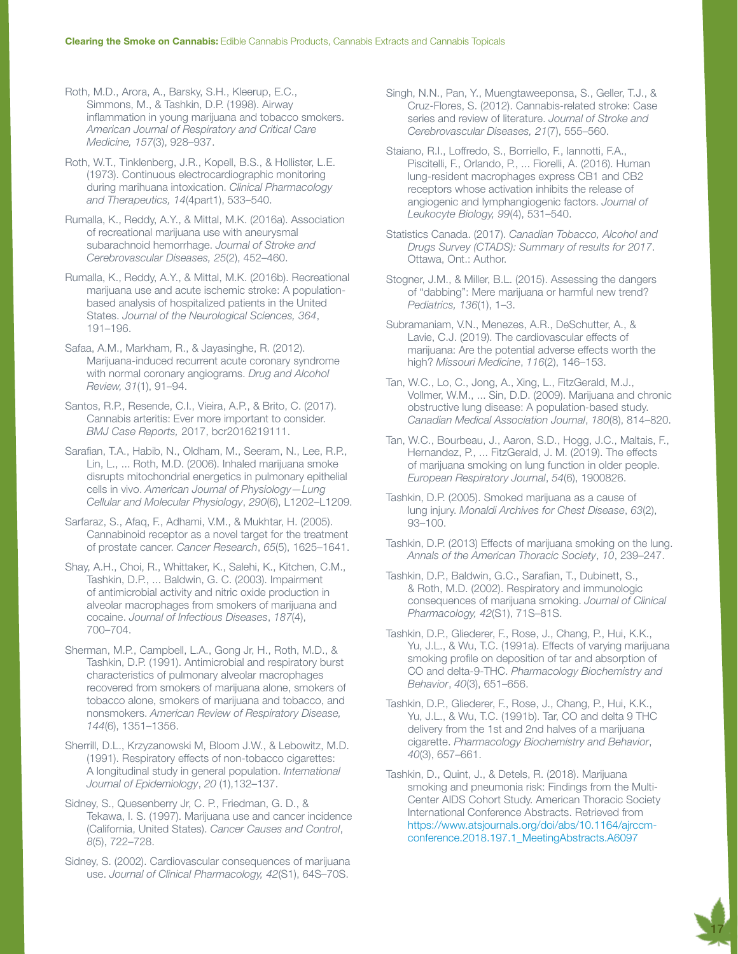Roth, M.D., Arora, A., Barsky, S.H., Kleerup, E.C., Simmons, M., & Tashkin, D.P. (1998). Airway inflammation in young marijuana and tobacco smokers. *American Journal of Respiratory and Critical Care Medicine, 157*(3), 928–937.

Roth, W.T., Tinklenberg, J.R., Kopell, B.S., & Hollister, L.E. (1973). Continuous electrocardiographic monitoring during marihuana intoxication. *Clinical Pharmacology and Therapeutics, 14*(4part1), 533–540.

Rumalla, K., Reddy, A.Y., & Mittal, M.K. (2016a). Association of recreational marijuana use with aneurysmal subarachnoid hemorrhage. *Journal of Stroke and Cerebrovascular Diseases, 25*(2), 452–460.

Rumalla, K., Reddy, A.Y., & Mittal, M.K. (2016b). Recreational marijuana use and acute ischemic stroke: A populationbased analysis of hospitalized patients in the United States. *Journal of the Neurological Sciences, 364*, 191–196.

Safaa, A.M., Markham, R., & Jayasinghe, R. (2012). Marijuana-induced recurrent acute coronary syndrome with normal coronary angiograms. *Drug and Alcohol Review, 31*(1), 91–94.

Santos, R.P., Resende, C.I., Vieira, A.P., & Brito, C. (2017). Cannabis arteritis: Ever more important to consider. *BMJ Case Reports,* 2017, bcr2016219111.

Sarafian, T.A., Habib, N., Oldham, M., Seeram, N., Lee, R.P., Lin, L., ... Roth, M.D. (2006). Inhaled marijuana smoke disrupts mitochondrial energetics in pulmonary epithelial cells in vivo. *American Journal of Physiology—Lung Cellular and Molecular Physiology*, *290*(6), L1202–L1209.

Sarfaraz, S., Afaq, F., Adhami, V.M., & Mukhtar, H. (2005). Cannabinoid receptor as a novel target for the treatment of prostate cancer. *Cancer Research*, *65*(5), 1625–1641.

Shay, A.H., Choi, R., Whittaker, K., Salehi, K., Kitchen, C.M., Tashkin, D.P., ... Baldwin, G. C. (2003). Impairment of antimicrobial activity and nitric oxide production in alveolar macrophages from smokers of marijuana and cocaine. *Journal of Infectious Diseases*, *187*(4), 700–704.

Sherman, M.P., Campbell, L.A., Gong Jr, H., Roth, M.D., & Tashkin, D.P. (1991). Antimicrobial and respiratory burst characteristics of pulmonary alveolar macrophages recovered from smokers of marijuana alone, smokers of tobacco alone, smokers of marijuana and tobacco, and nonsmokers. *American Review of Respiratory Disease, 144*(6), 1351–1356.

Sherrill, D.L., Krzyzanowski M, Bloom J.W., & Lebowitz, M.D. (1991). Respiratory effects of non-tobacco cigarettes: A longitudinal study in general population. *International Journal of Epidemiology*, *20* (1),132–137.

Sidney, S., Quesenberry Jr, C. P., Friedman, G. D., & Tekawa, I. S. (1997). Marijuana use and cancer incidence (California, United States). *Cancer Causes and Control*, *8*(5), 722–728.

Sidney, S. (2002). Cardiovascular consequences of marijuana use. *Journal of Clinical Pharmacology, 42*(S1), 64S–70S.

Singh, N.N., Pan, Y., Muengtaweeponsa, S., Geller, T.J., & Cruz-Flores, S. (2012). Cannabis-related stroke: Case series and review of literature. *Journal of Stroke and Cerebrovascular Diseases, 21*(7), 555–560.

Staiano, R.I., Loffredo, S., Borriello, F., Iannotti, F.A., Piscitelli, F., Orlando, P., ... Fiorelli, A. (2016). Human lung‐resident macrophages express CB1 and CB2 receptors whose activation inhibits the release of angiogenic and lymphangiogenic factors. *Journal of Leukocyte Biology, 99*(4), 531–540.

Statistics Canada. (2017). *Canadian Tobacco, Alcohol and Drugs Survey (CTADS): Summary of results for 2017*. Ottawa, Ont.: Author.

Stogner, J.M., & Miller, B.L. (2015). Assessing the dangers of "dabbing": Mere marijuana or harmful new trend? *Pediatrics, 136*(1), 1–3.

Subramaniam, V.N., Menezes, A.R., DeSchutter, A., & Lavie, C.J. (2019). The cardiovascular effects of marijuana: Are the potential adverse effects worth the high? *Missouri Medicine*, *116*(2), 146–153.

Tan, W.C., Lo, C., Jong, A., Xing, L., FitzGerald, M.J., Vollmer, W.M., ... Sin, D.D. (2009). Marijuana and chronic obstructive lung disease: A population-based study. *Canadian Medical Association Journal*, *180*(8), 814–820.

Tan, W.C., Bourbeau, J., Aaron, S.D., Hogg, J.C., Maltais, F., Hernandez, P., ... FitzGerald, J. M. (2019). The effects of marijuana smoking on lung function in older people. *European Respiratory Journal*, *54*(6), 1900826.

Tashkin, D.P. (2005). Smoked marijuana as a cause of lung injury. *Monaldi Archives for Chest Disease*, *63*(2), 93–100.

Tashkin, D.P. (2013) Effects of marijuana smoking on the lung. *Annals of the American Thoracic Society*, *10*, 239–247.

Tashkin, D.P., Baldwin, G.C., Sarafian, T., Dubinett, S., & Roth, M.D. (2002). Respiratory and immunologic consequences of marijuana smoking. *Journal of Clinical Pharmacology, 42*(S1), 71S–81S.

Tashkin, D.P., Gliederer, F., Rose, J., Chang, P., Hui, K.K., Yu, J.L., & Wu, T.C. (1991a). Effects of varying marijuana smoking profile on deposition of tar and absorption of CO and delta-9-THC. *Pharmacology Biochemistry and Behavior*, *40*(3), 651–656.

Tashkin, D.P., Gliederer, F., Rose, J., Chang, P., Hui, K.K., Yu, J.L., & Wu, T.C. (1991b). Tar, CO and delta 9 THC delivery from the 1st and 2nd halves of a marijuana cigarette. *Pharmacology Biochemistry and Behavior*, *40*(3), 657–661.

Tashkin, D., Quint, J., & Detels, R. (2018). Marijuana smoking and pneumonia risk: Findings from the Multi-Center AIDS Cohort Study. American Thoracic Society International Conference Abstracts. Retrieved from [https://www.atsjournals.org/doi/abs/10.1164/ajrccm](https://www.atsjournals.org/doi/abs/10.1164/ajrccm-conference.2018.197.1_MeetingAbstracts.A6097)[conference.2018.197.1\\_MeetingAbstracts.A6097](https://www.atsjournals.org/doi/abs/10.1164/ajrccm-conference.2018.197.1_MeetingAbstracts.A6097)